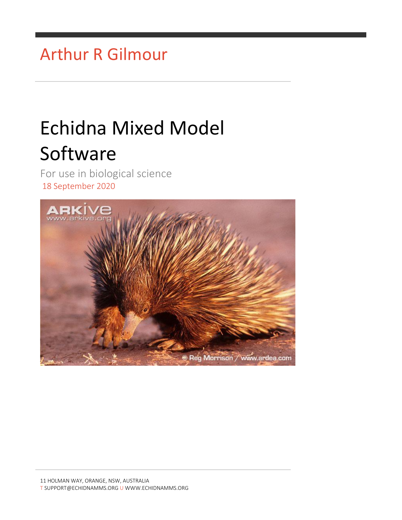## Arthur R Gilmour

# Echidna Mixed Model **Software**

For use in biological science 18 September 2020

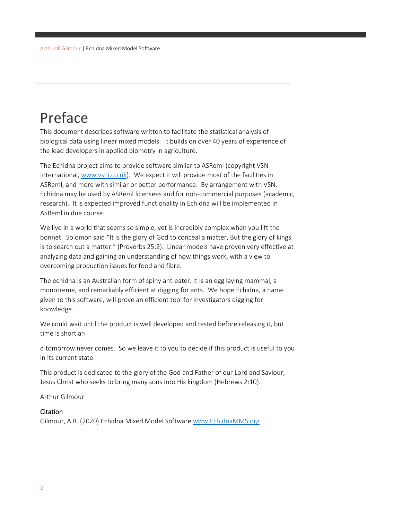## <span id="page-1-0"></span>Preface

This document describes software written to facilitate the statistical analysis of biological data using linear mixed models. It builds on over 40 years of experience of the lead developers in applied biometry in agriculture.

The Echidna project aims to provide software similar to ASReml (copyright VSN International[, www.vsni.co.uk\)](http://www.vsni.co.uk/). We expect it will provide most of the facilities in ASReml, and more with similar or better performance. By arrangement with VSN, Echidna may be used by ASReml licensees and for non-commercial purposes (academic, research). It is expected improved functionality in Echidna will be implemented in ASReml in due course.

We live in a world that seems so simple, yet is incredibly complex when you lift the bonnet. Solomon said "It is the glory of God to conceal a matter, But the glory of kings is to search out a matter." (Proverbs 25:2). Linear models have proven very effective at analyzing data and gaining an understanding of how things work, with a view to overcoming production issues for food and fibre.

The echidna is an Australian form of spiny ant-eater. It is an egg laying mammal, a monotreme, and remarkably efficient at digging for ants. We hope Echidna, a name given to this software, will prove an efficient tool for investigators digging for knowledge.

We could wait until the product is well developed and tested before releasing it, but time is short an

d tomorrow never comes. So we leave it to you to decide if this product is useful to you in its current state.

This product is dedicated to the glory of the God and Father of our Lord and Saviour, Jesus Christ who seeks to bring many sons into His kingdom (Hebrews 2:10).

Arthur Gilmour

#### Citation

Gilmour, A.R. (2020) Echidna Mixed Model Software [www.EchidnaMMS.org](http://www.echidnamms.org/)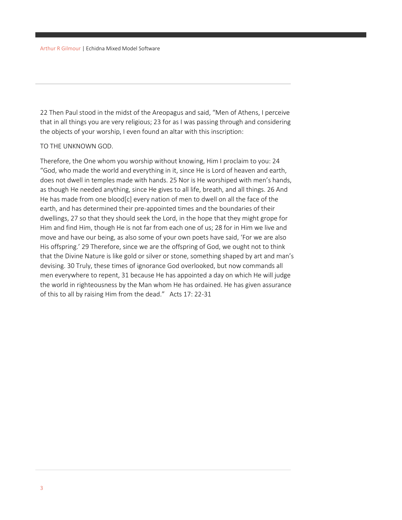22 Then Paul stood in the midst of the Areopagus and said, "Men of Athens, I perceive that in all things you are very religious; 23 for as I was passing through and considering the objects of your worship, I even found an altar with this inscription:

#### TO THE UNKNOWN GOD.

Therefore, the One whom you worship without knowing, Him I proclaim to you: 24 "God, who made the world and everything in it, since He is Lord of heaven and earth, does not dwell in temples made with hands. 25 Nor is He worshiped with men's hands, as though He needed anything, since He gives to all life, breath, and all things. 26 And He has made from one blood[c] every nation of men to dwell on all the face of the earth, and has determined their pre-appointed times and the boundaries of their dwellings, 27 so that they should seek the Lord, in the hope that they might grope for Him and find Him, though He is not far from each one of us; 28 for in Him we live and move and have our being, as also some of your own poets have said, 'For we are also His offspring.' 29 Therefore, since we are the offspring of God, we ought not to think that the Divine Nature is like gold or silver or stone, something shaped by art and man's devising. 30 Truly, these times of ignorance God overlooked, but now commands all men everywhere to repent, 31 because He has appointed a day on which He will judge the world in righteousness by the Man whom He has ordained. He has given assurance of this to all by raising Him from the dead." Acts 17: 22-31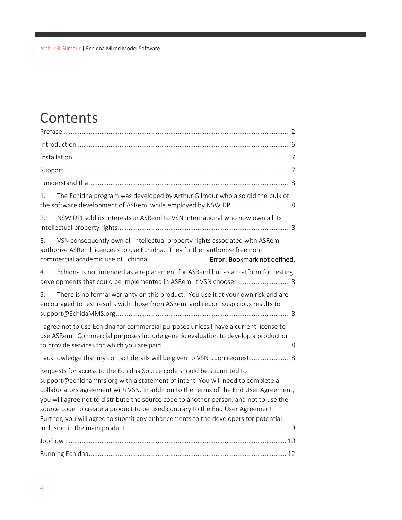## Contents

| The Echidna program was developed by Arthur Gilmour who also did the bulk of<br>1.                                                                                                                                                                                                                                                                                                                                                                                                                                 |  |
|--------------------------------------------------------------------------------------------------------------------------------------------------------------------------------------------------------------------------------------------------------------------------------------------------------------------------------------------------------------------------------------------------------------------------------------------------------------------------------------------------------------------|--|
| NSW DPI sold its interests in ASReml to VSN International who now own all its<br>2.                                                                                                                                                                                                                                                                                                                                                                                                                                |  |
| VSN consequently own all intellectual property rights associated with ASReml<br>3.<br>authorize ASReml licencees to use Echidna. They further authorize free non-<br>commercial academic use of Echidna.  Error! Bookmark not defined.                                                                                                                                                                                                                                                                             |  |
| Echidna is not intended as a replacement for ASReml but as a platform for testing<br>4.<br>developments that could be implemented in ASReml if VSN choose.  8                                                                                                                                                                                                                                                                                                                                                      |  |
| There is no formal warranty on this product. You use it at your own risk and are<br>5.<br>encouraged to test results with those from ASReml and report suspicious results to                                                                                                                                                                                                                                                                                                                                       |  |
| I agree not to use Echidna for commercial purposes unless I have a current license to<br>use ASReml. Commercial purposes include genetic evaluation to develop a product or                                                                                                                                                                                                                                                                                                                                        |  |
| I acknowledge that my contact details will be given to VSN upon request 8                                                                                                                                                                                                                                                                                                                                                                                                                                          |  |
| Requests for access to the Echidna Source code should be submitted to<br>support@echidnamms.org with a statement of intent. You will need to complete a<br>collaborators agreement with VSN. In addition to the terms of the End User Agreement,<br>you will agree not to distribute the source code to another person, and not to use the<br>source code to create a product to be used contrary to the End User Agreement.<br>Further, you will agree to submit any enhancements to the developers for potential |  |
|                                                                                                                                                                                                                                                                                                                                                                                                                                                                                                                    |  |
|                                                                                                                                                                                                                                                                                                                                                                                                                                                                                                                    |  |
|                                                                                                                                                                                                                                                                                                                                                                                                                                                                                                                    |  |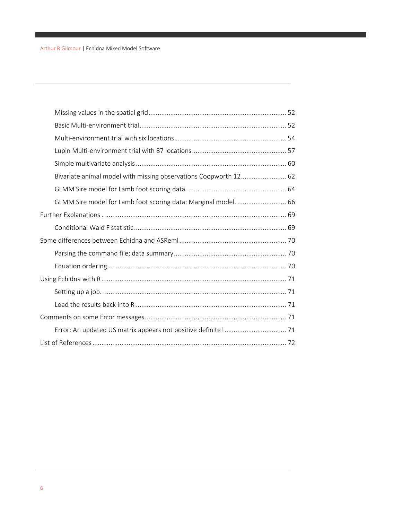<span id="page-5-0"></span>

| Bivariate animal model with missing observations Coopworth 12 62 |  |
|------------------------------------------------------------------|--|
|                                                                  |  |
| GLMM Sire model for Lamb foot scoring data: Marginal model.  66  |  |
|                                                                  |  |
|                                                                  |  |
|                                                                  |  |
|                                                                  |  |
|                                                                  |  |
|                                                                  |  |
|                                                                  |  |
|                                                                  |  |
|                                                                  |  |
|                                                                  |  |
|                                                                  |  |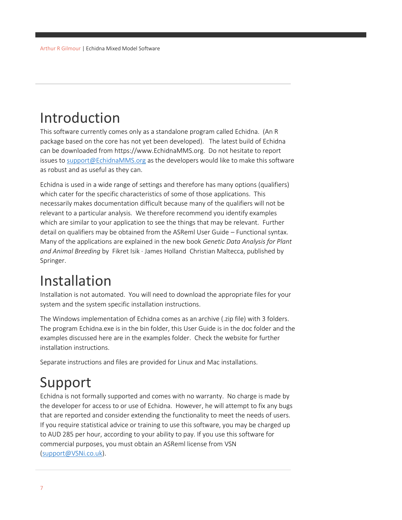## Introduction

This software currently comes only as a standalone program called Echidna. (An R package based on the core has not yet been developed). The latest build of Echidna can be downloaded from https://www.EchidnaMMS.org. Do not hesitate to report issues to [support@EchidnaMMS.org](mailto:support@EchidnaMMS.org) as the developers would like to make this software as robust and as useful as they can.

Echidna is used in a wide range of settings and therefore has many options (qualifiers) which cater for the specific characteristics of some of those applications. This necessarily makes documentation difficult because many of the qualifiers will not be relevant to a particular analysis. We therefore recommend you identify examples which are similar to your application to see the things that may be relevant. Further detail on qualifiers may be obtained from the ASReml User Guide – Functional syntax. Many of the applications are explained in the new book *Genetic Data Analysis for Plant and Animal Breeding* by Fikret Isik · James Holland Christian Maltecca, published by Springer.

## <span id="page-6-0"></span>Installation

Installation is not automated. You will need to download the appropriate files for your system and the system specific installation instructions.

The Windows implementation of Echidna comes as an archive (.zip file) with 3 folders. The program Echidna.exe is in the bin folder, this User Guide is in the doc folder and the examples discussed here are in the examples folder. Check the website for further installation instructions.

Separate instructions and files are provided for Linux and Mac installations.

## <span id="page-6-1"></span>Support

Echidna is not formally supported and comes with no warranty. No charge is made by the developer for access to or use of Echidna. However, he will attempt to fix any bugs that are reported and consider extending the functionality to meet the needs of users. If you require statistical advice or training to use this software, you may be charged up to AUD 285 per hour, according to your ability to pay. If you use this software for commercial purposes, you must obtain an ASReml license from VSN [\(support@VSNi.co.uk\)](mailto:support@VSNi.co.uk).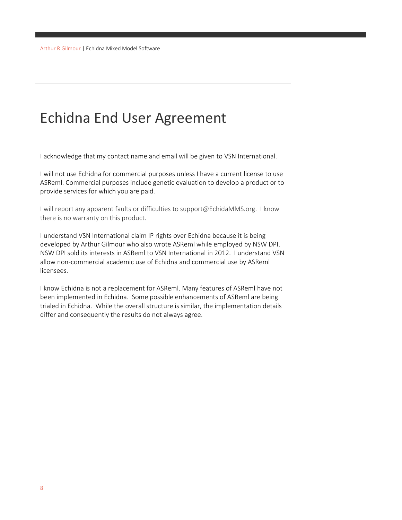## Echidna End User Agreement

<span id="page-7-0"></span>I acknowledge that my contact name and email will be given to VSN International.

<span id="page-7-5"></span>I will not use Echidna for commercial purposes unless I have a current license to use ASReml. Commercial purposes include genetic evaluation to develop a product or to provide services for which you are paid.

I will report any apparent faults or difficulties to support@EchidaMMS.org. I know there is no warranty on this product.

<span id="page-7-2"></span><span id="page-7-1"></span>I understand VSN International claim IP rights over Echidna because it is being developed by Arthur Gilmour who also wrote ASReml while employed by NSW DPI. NSW DPI sold its interests in ASReml to VSN International in 2012. I understand VSN allow non-commercial academic use of Echidna and commercial use by ASReml licensees.

<span id="page-7-4"></span><span id="page-7-3"></span>I know Echidna is not a replacement for ASReml. Many features of ASReml have not been implemented in Echidna. Some possible enhancements of ASReml are being trialed in Echidna. While the overall structure is similar, the implementation details differ and consequently the results do not always agree.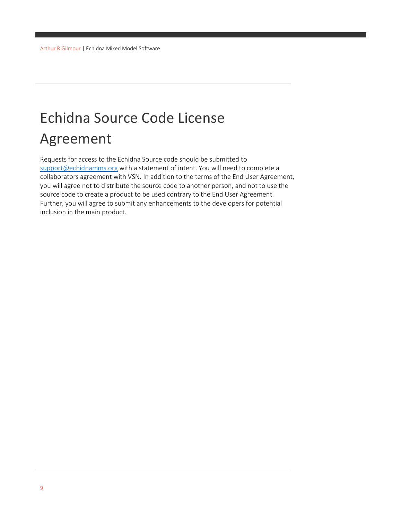## Echidna Source Code License Agreement

<span id="page-8-0"></span>Requests for access to the Echidna Source code should be submitted to [support@echidnamms.org](mailto:support@echidnamms.org) with a statement of intent. You will need to complete a collaborators agreement with VSN. In addition to the terms of the End User Agreement, you will agree not to distribute the source code to another person, and not to use the source code to create a product to be used contrary to the End User Agreement. Further, you will agree to submit any enhancements to the developers for potential inclusion in the main product.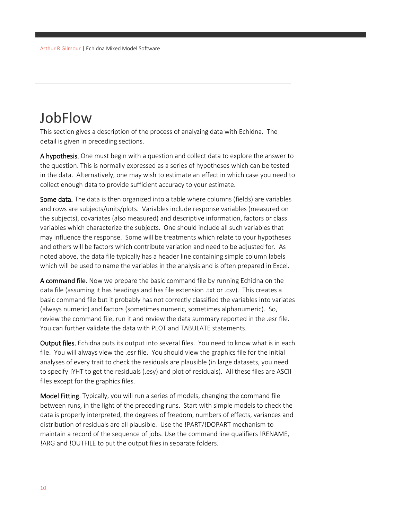### <span id="page-9-0"></span>**JobFlow**

This section gives a description of the process of analyzing data with Echidna. The detail is given in preceding sections.

A hypothesis. One must begin with a question and collect data to explore the answer to the question. This is normally expressed as a series of hypotheses which can be tested in the data. Alternatively, one may wish to estimate an effect in which case you need to collect enough data to provide sufficient accuracy to your estimate.

Some data. The data is then organized into a table where columns (fields) are variables and rows are subjects/units/plots. Variables include response variables (measured on the subjects), covariates (also measured) and descriptive information, factors or class variables which characterize the subjects. One should include all such variables that may influence the response. Some will be treatments which relate to your hypotheses and others will be factors which contribute variation and need to be adjusted for. As noted above, the data file typically has a header line containing simple column labels which will be used to name the variables in the analysis and is often prepared in Excel.

A command file. Now we prepare the basic command file by running Echidna on the data file (assuming it has headings and has file extension .txt or .csv). This creates a basic command file but it probably has not correctly classified the variables into variates (always numeric) and factors (sometimes numeric, sometimes alphanumeric). So, review the command file, run it and review the data summary reported in the .esr file. You can further validate the data with PLOT and TABULATE statements.

Output files. Echidna puts its output into several files. You need to know what is in each file. You will always view the .esr file. You should view the graphics file for the initial analyses of every trait to check the residuals are plausible (in large datasets, you need to specify !YHT to get the residuals (.esy) and plot of residuals). All these files are ASCII files except for the graphics files.

Model Fitting. Typically, you will run a series of models, changing the command file between runs, in the light of the preceding runs. Start with simple models to check the data is properly interpreted, the degrees of freedom, numbers of effects, variances and distribution of residuals are all plausible. Use the !PART/!DOPART mechanism to maintain a record of the sequence of jobs. Use the command line qualifiers !RENAME, !ARG and !OUTFILE to put the output files in separate folders.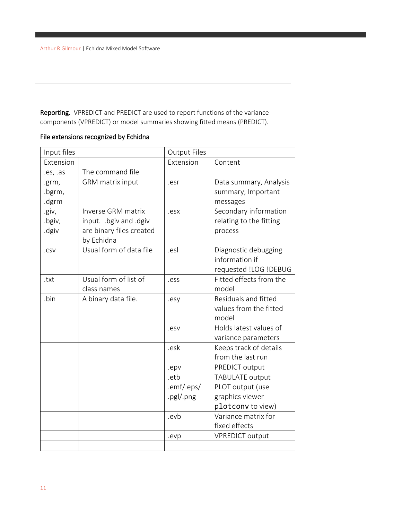Reporting. VPREDICT and PREDICT are used to report functions of the variance components (VPREDICT) or model summaries showing fitted means (PREDICT).

#### File extensions recognized by Echidna

| Input files |                          | <b>Output Files</b> |                         |  |  |
|-------------|--------------------------|---------------------|-------------------------|--|--|
| Extension   |                          | Extension           | Content                 |  |  |
| .es, .as    | The command file         |                     |                         |  |  |
| .grm,       | GRM matrix input         | .esr                | Data summary, Analysis  |  |  |
| .bgrm,      |                          |                     | summary, Important      |  |  |
| .dgrm       |                          |                     | messages                |  |  |
| .giv,       | Inverse GRM matrix       | .esx                | Secondary information   |  |  |
| .bgiv,      | input. .bgiv and .dgiv   |                     | relating to the fitting |  |  |
| .dgiv       | are binary files created |                     | process                 |  |  |
|             | by Echidna               |                     |                         |  |  |
| .csv        | Usual form of data file  | .esl                | Diagnostic debugging    |  |  |
|             |                          |                     | information if          |  |  |
|             |                          |                     | requested !LOG !DEBUG   |  |  |
| .txt        | Usual form of list of    | .ess                | Fitted effects from the |  |  |
|             | class names              |                     | model                   |  |  |
| .bin        | A binary data file.      | .esy                | Residuals and fitted    |  |  |
|             |                          |                     | values from the fitted  |  |  |
|             |                          |                     | model                   |  |  |
|             |                          | .esv                | Holds latest values of  |  |  |
|             |                          |                     | variance parameters     |  |  |
|             |                          | .esk                | Keeps track of details  |  |  |
|             |                          |                     | from the last run       |  |  |
|             |                          | .epv                | PREDICT output          |  |  |
|             |                          | .etb                | <b>TABULATE output</b>  |  |  |
|             |                          | .emf/.eps/          | PLOT output (use        |  |  |
|             |                          | .pgl/.png           | graphics viewer         |  |  |
|             |                          |                     | plotconv to view)       |  |  |
|             |                          | .evb                | Variance matrix for     |  |  |
|             |                          |                     | fixed effects           |  |  |
|             |                          | .evp                | <b>VPREDICT output</b>  |  |  |
|             |                          |                     |                         |  |  |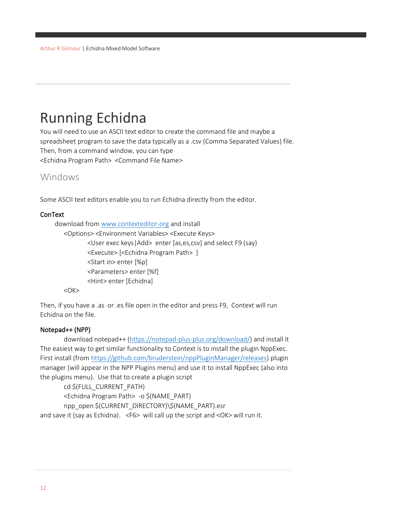## <span id="page-11-0"></span>Running Echidna

You will need to use an ASCII text editor to create the command file and maybe a spreadsheet program to save the data typically as a .csv (Comma Separated Values) file. Then, from a command window, you can type <Echidna Program Path> <Command File Name>

#### <span id="page-11-1"></span>Windows

Some ASCII text editors enable you to run Echidna directly from the editor.

#### **ConText**

download from [www.contexteditor.org](http://www.contexteditor.org/) and install

<Options> <Environment Variables> <Execute Keys> <User exec keys|Add> enter [as,es,csv] and select F9 (say) <Execute> [<Echidna Program Path> ] <Start in> enter [%p] <Parameters> enter [%f] <Hint> enter [Echidna]

<OK>

Then, if you have a .as or .es file open in the editor and press F9, Context will run Echidna on the file.

#### Notepad++ (NPP)

download notepad++ [\(https://notepad-plus-plus.org/download/\)](https://notepad-plus-plus.org/download/) and install it The easiest way to get similar functionality to Context is to install the plugin NppExec. First install (fro[m https://github.com/bruderstein/nppPluginManager/releases\)](https://github.com/bruderstein/nppPluginManager/releases) plugin manager (will appear in the NPP Plugins menu) and use it to install NppExec (also into the plugins menu). Use that to create a plugin script

cd \$(FULL\_CURRENT\_PATH)

<Echidna Program Path> -o \$(NAME\_PART)

npp\_open \$(CURRENT\_DIRECTORY)\\$(NAME\_PART).esr

and save it (say as Echidna). <F6> will call up the script and <OK> will run it.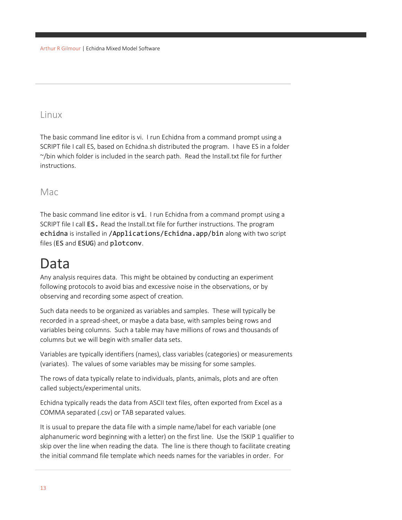#### Linux

The basic command line editor is vi. I run Echidna from a command prompt using a SCRIPT file I call ES, based on Echidna.sh distributed the program. I have ES in a folder ~/bin which folder is included in the search path. Read the Install.txt file for further instructions.

#### Mac

The basic command line editor is  $\overline{vi}$ . I run Echidna from a command prompt using a SCRIPT file I call ES. Read the Install.txt file for further instructions. The program echidna is installed in /Applications/Echidna.app/bin along with two script files (ES and ESUG) and plotconv.

## <span id="page-12-0"></span>Data

Any analysis requires data. This might be obtained by conducting an experiment following protocols to avoid bias and excessive noise in the observations, or by observing and recording some aspect of creation.

Such data needs to be organized as variables and samples. These will typically be recorded in a spread-sheet, or maybe a data base, with samples being rows and variables being columns. Such a table may have millions of rows and thousands of columns but we will begin with smaller data sets.

Variables are typically identifiers (names), class variables (categories) or measurements (variates). The values of some variables may be missing for some samples.

The rows of data typically relate to individuals, plants, animals, plots and are often called subjects/experimental units.

Echidna typically reads the data from ASCII text files, often exported from Excel as a COMMA separated (.csv) or TAB separated values.

It is usual to prepare the data file with a simple name/label for each variable (one alphanumeric word beginning with a letter) on the first line. Use the !SKIP 1 qualifier to skip over the line when reading the data. The line is there though to facilitate creating the initial command file template which needs names for the variables in order. For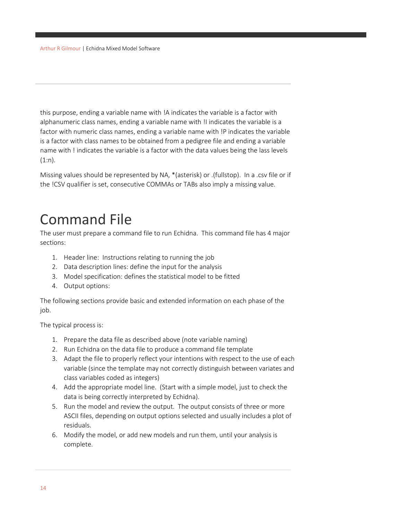this purpose, ending a variable name with !A indicates the variable is a factor with alphanumeric class names, ending a variable name with !I indicates the variable is a factor with numeric class names, ending a variable name with !P indicates the variable is a factor with class names to be obtained from a pedigree file and ending a variable name with ! indicates the variable is a factor with the data values being the lass levels  $(1:n)$ .

Missing values should be represented by NA, \*(asterisk) or .(fullstop). In a .csv file or if the !CSV qualifier is set, consecutive COMMAs or TABs also imply a missing value.

## <span id="page-13-0"></span>Command File

The user must prepare a command file to run Echidna. This command file has 4 major sections:

- 1. Header line: Instructions relating to running the job
- 2. Data description lines: define the input for the analysis
- 3. Model specification: defines the statistical model to be fitted
- 4. Output options:

The following sections provide basic and extended information on each phase of the job.

The typical process is:

- 1. Prepare the data file as described above (note variable naming)
- 2. Run Echidna on the data file to produce a command file template
- 3. Adapt the file to properly reflect your intentions with respect to the use of each variable (since the template may not correctly distinguish between variates and class variables coded as integers)
- 4. Add the appropriate model line. (Start with a simple model, just to check the data is being correctly interpreted by Echidna).
- 5. Run the model and review the output. The output consists of three or more ASCII files, depending on output options selected and usually includes a plot of residuals.
- 6. Modify the model, or add new models and run them, until your analysis is complete.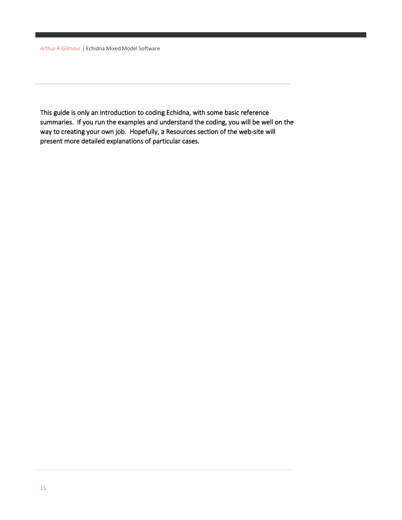This guide is only an introduction to coding Echidna, with some basic reference summaries. If you run the examples and understand the coding, you will be well on the way to creating your own job. Hopefully, a Resources section of the web-site will present more detailed explanations of particular cases.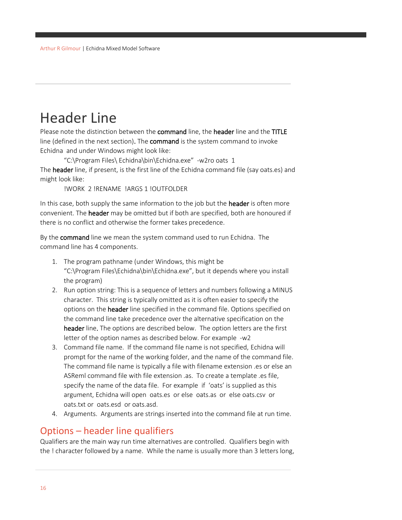### <span id="page-15-0"></span>Header Line

Please note the distinction between the command line, the header line and the TITLE line (defined in the next section). The **command** is the system command to invoke Echidna and under Windows might look like:

"C:\Program Files\ Echidna\bin\Echidna.exe" -w2ro oats 1 The header line, if present, is the first line of the Echidna command file (say oats.es) and might look like:

!WORK 2 !RENAME !ARGS 1 !OUTFOLDER

In this case, both supply the same information to the job but the **header** is often more convenient. The header may be omitted but if both are specified, both are honoured if there is no conflict and otherwise the former takes precedence.

By the command line we mean the system command used to run Echidna. The command line has 4 components.

- 1. The program pathname (under Windows, this might be "C:\Program Files\Echidna\bin\Echidna.exe", but it depends where you install the program)
- 2. Run option string: This is a sequence of letters and numbers following a MINUS character. This string is typically omitted as it is often easier to specify the options on the header line specified in the command file. Options specified on the command line take precedence over the alternative specification on the header line. The options are described below. The option letters are the first letter of the option names as described below. For example -w2
- 3. Command file name. If the command file name is not specified, Echidna will prompt for the name of the working folder, and the name of the command file. The command file name is typically a file with filename extension .es or else an ASReml command file with file extension .as. To create a template .es file, specify the name of the data file. For example if 'oats' is supplied as this argument, Echidna will open oats.es or else oats.as or else oats.csv or oats.txt or oats.esd or oats.asd.
- 4. Arguments. Arguments are strings inserted into the command file at run time.

#### <span id="page-15-1"></span>Options – header line qualifiers

Qualifiers are the main way run time alternatives are controlled. Qualifiers begin with the ! character followed by a name. While the name is usually more than 3 letters long,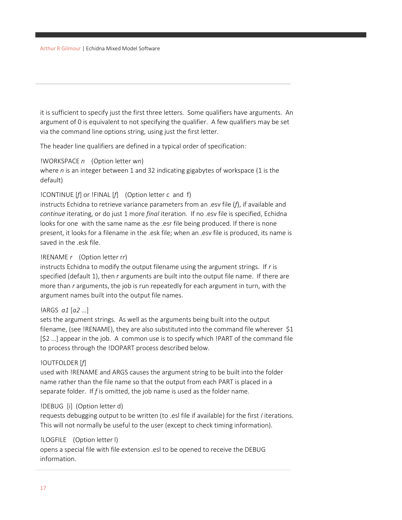it is sufficient to specify just the first three letters. Some qualifiers have arguments. An argument of 0 is equivalent to not specifying the qualifier. A few qualifiers may be set via the command line options string, using just the first letter.

The header line qualifiers are defined in a typical order of specification:

#### !WORKSPACE *n* (Option letter w*n*)

where *n* is an integer between 1 and 32 indicating gigabytes of workspace (1 is the default)

#### !CONTINUE [*f*] or !FINAL [*f*] (Option letter c and f)

instructs Echidna to retrieve variance parameters from an .esv file (*f*), if available and *continue* iterating, or do just 1 more *final* iteration. If no .esv file is specified, Echidna looks for one with the same name as the .esr file being produced. If there is none present, it looks for a filename in the .esk file; when an .esv file is produced, its name is saved in the .esk file.

#### !RENAME *r* (Option letter r*r*)

instructs Echidna to modify the output filename using the argument strings. If *r* is specified (default 1), then *r* arguments are built into the output file name. If there are more than *r* arguments, the job is run repeatedly for each argument in turn, with the argument names built into the output file names.

#### !ARGS *a1* [*a2* …]

sets the argument strings. As well as the arguments being built into the output filename, (see !RENAME), they are also substituted into the command file wherever \$1 [\$2 …] appear in the job. A common use is to specify which !PART of the command file to process through the !DOPART process described below.

#### !OUTFOLDER [*f*]

used with !RENAME and ARGS causes the argument string to be built into the folder name rather than the file name so that the output from each PART is placed in a separate folder. If *f* is omitted, the job name is used as the folder name.

#### !DEBUG [i] (Option letter d)

requests debugging output to be written (to .esl file if available) for the first *I* iterations. This will not normally be useful to the user (except to check timing information).

#### !LOGFILE (Option letter l)

opens a special file with file extension .esl to be opened to receive the DEBUG information.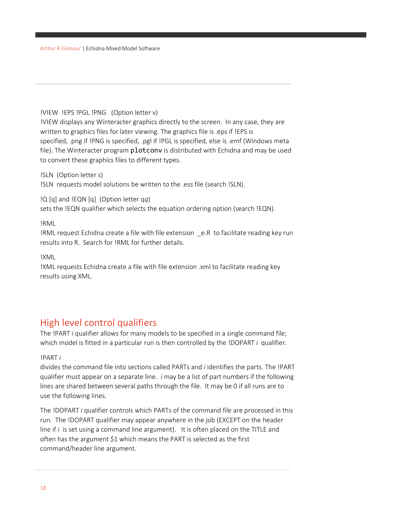#### !VIEW !EPS !PGL !PNG (Option letter v)

!VIEW displays any Winteracter graphics directly to the screen. In any case, they are written to graphics files for later viewing. The graphics file is .eps if !EPS is specified, .png if !PNG is specified, .pgl if !PGL is specified, else is .emf (Windows meta file). The Winteracter program plotconv is distributed with Echidna and may be used to convert these graphics files to different types.

!SLN (Option letter s) !SLN requests model solutions be written to the .ess file (search !SLN).

!Q [q] and !EQN [q] (Option letter q*q*)

sets the !EQN qualifier which selects the equation ordering option (search !EQN).

!RML

!RML request Echidna create a file with file extension \_e.R to facilitate reading key run results into R. Search for !RML for further details.

!XML

!XML requests Echidna create a file with file extension .xml to facilitate reading key results using XML.

#### <span id="page-17-0"></span>High level control qualifiers

The !PART *i* qualifier allows for many models to be specified in a single command file; which model is fitted in a particular run is then controlled by the !DOPART *i* qualifier.

#### !PART *i*

divides the command file into sections called PARTs and *i* identifies the parts. The !PART qualifier must appear on a separate line. *i* may be a list of part numbers if the following lines are shared between several paths through the file. It may be 0 if all runs are to use the following lines.

The !DOPART *i* qualifier controls which PARTs of the command file are processed in this run. The !DOPART qualifier may appear anywhere in the job (EXCEPT on the header line if *i* is set using a command line argument). It is often placed on the TITLE and often has the argument \$1 which means the PART is selected as the first command/header line argument.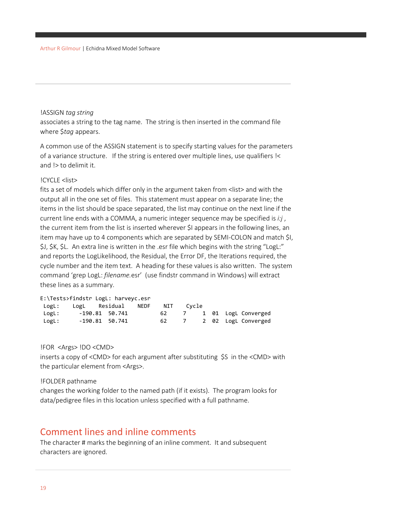#### !ASSIGN *tag string*

associates a string to the tag name. The string is then inserted in the command file where \$*tag* appears.

A common use of the ASSIGN statement is to specify starting values for the parameters of a variance structure. If the string is entered over multiple lines, use qualifiers !< and !> to delimit it.

#### !CYCLE <list>

fits a set of models which differ only in the argument taken from <list> and with the output all in the one set of files. This statement must appear on a separate line; the items in the list should be space separated, the list may continue on the next line if the current line ends with a COMMA, a numeric integer sequence may be specified is *i:j* , the current item from the list is inserted wherever \$I appears in the following lines, an item may have up to 4 components which are separated by SEMI-COLON and match \$I, \$J, \$K, \$L. An extra line is written in the .esr file which begins with the string "LogL:" and reports the LogLikelihood, the Residual, the Error DF, the Iterations required, the cycle number and the item text. A heading for these values is also written. The system command 'grep LogL: *filename.*esr' (use findstr command in Windows) will extract these lines as a summary.

|       | E:\Tests>findstr LogL: harveyc.esr |     |                |       |  |                     |
|-------|------------------------------------|-----|----------------|-------|--|---------------------|
| LogL: | LogL Residual NEDF                 | NIT |                | Cycle |  |                     |
| LogL: | -190.81 50.741                     | 62  | $\overline{7}$ |       |  | 1 01 LogL Converged |
| LogL: | $-190.81$ 50.741                   | 62  | $\overline{7}$ |       |  | 2 02 LogL Converged |

!FOR <Args> !DO <CMD>

inserts a copy of <CMD> for each argument after substituting \$S in the <CMD> with the particular element from <Args>.

#### !FOLDER pathname

changes the working folder to the named path (if it exists). The program looks for data/pedigree files in this location unless specified with a full pathname.

#### <span id="page-18-0"></span>Comment lines and inline comments

The character # marks the beginning of an inline comment. It and subsequent characters are ignored.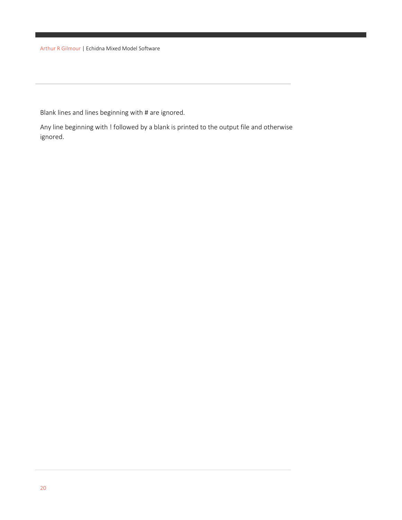Blank lines and lines beginning with # are ignored.

Any line beginning with ! followed by a blank is printed to the output file and otherwise ignored.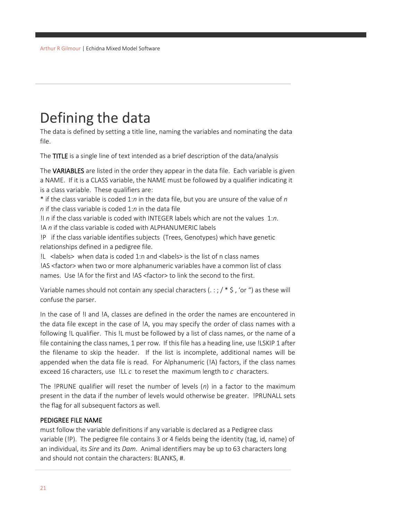## <span id="page-20-0"></span>Defining the data

The data is defined by setting a title line, naming the variables and nominating the data file.

The TITLE is a single line of text intended as a brief description of the data/analysis

The VARIABLES are listed in the order they appear in the data file. Each variable is given a NAME. If it is a CLASS variable, the NAME must be followed by a qualifier indicating it is a class variable. These qualifiers are:

\* if the class variable is coded 1:*n* in the data file, but you are unsure of the value of *n n* if the class variable is coded 1:*n* in the data file

!I *n* if the class variable is coded with INTEGER labels which are not the values 1:*n*. !A *n* if the class variable is coded with ALPHANUMERIC labels

!P if the class variable identifies subjects (Trees, Genotypes) which have genetic relationships defined in a pedigree file.

!L <labels> when data is coded 1:n and <labels> is the list of n class names !AS <factor> when two or more alphanumeric variables have a common list of class names. Use !A for the first and !AS <factor> to link the second to the first.

Variable names should not contain any special characters ( $\ldots$ ; / \* \$, 'or ") as these will confuse the parser.

In the case of !I and !A, classes are defined in the order the names are encountered in the data file except in the case of !A, you may specify the order of class names with a following !L qualifier. This !L must be followed by a list of class names, or the name of a file containing the class names, 1 per row. If this file has a heading line, use !LSKIP 1 after the filename to skip the header. If the list is incomplete, additional names will be appended when the data file is read. For Alphanumeric (!A) factors, if the class names exceed 16 characters, use !LL *c* to reset the maximum length to *c* characters.

The !PRUNE qualifier will reset the number of levels (*n*) in a factor to the maximum present in the data if the number of levels would otherwise be greater. !PRUNALL sets the flag for all subsequent factors as well.

#### PEDIGREE FILE NAME

must follow the variable definitions if any variable is declared as a Pedigree class variable (!P). The pedigree file contains 3 or 4 fields being the identity (tag, id, name) of an individual, its *Sire* and its *Dam*. Animal identifiers may be up to 63 characters long and should not contain the characters: BLANKS, #.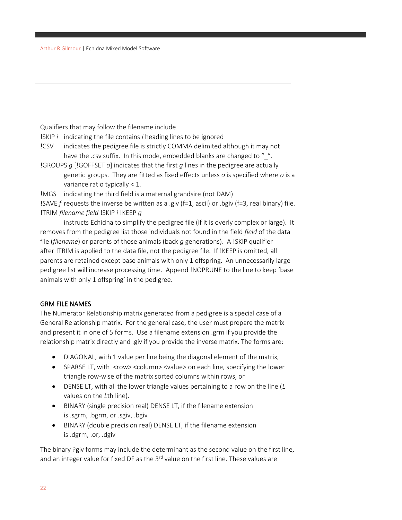Qualifiers that may follow the filename include

!SKIP *i* indicating the file contains *i* heading lines to be ignored

!CSV indicates the pedigree file is strictly COMMA delimited although it may not have the .csv suffix. In this mode, embedded blanks are changed to "".

!GROUPS *g* [!GOFFSET *o*] indicates that the first *g* lines in the pedigree are actually genetic groups. They are fitted as fixed effects unless *o* is specified where *o* is a variance ratio typically < 1.

!MGS indicating the third field is a maternal grandsire (not DAM)

!SAVE *f* requests the inverse be written as a .giv (f=1, ascii) or .bgiv (f=3, real binary) file. !TRIM *filename field* !SKIP *i* !KEEP *g*

instructs Echidna to simplify the pedigree file (if it is overly complex or large). It removes from the pedigree list those individuals not found in the field *field* of the data file (*filename*) or parents of those animals (back *g* generations). A !SKIP qualifier after !TRIM is applied to the data file, not the pedigree file. If !KEEP is omitted, all parents are retained except base animals with only 1 offspring. An unnecessarily large pedigree list will increase processing time. Append !NOPRUNE to the line to keep 'base animals with only 1 offspring' in the pedigree.

#### GRM FILE NAMES

The Numerator Relationship matrix generated from a pedigree is a special case of a General Relationship matrix. For the general case, the user must prepare the matrix and present it in one of 5 forms. Use a filename extension .grm if you provide the relationship matrix directly and .giv if you provide the inverse matrix. The forms are:

- DIAGONAL, with 1 value per line being the diagonal element of the matrix,
- SPARSE LT, with <row> <column> <value> on each line, specifying the lower triangle row-wise of the matrix sorted columns within rows, or
- DENSE LT, with all the lower triangle values pertaining to a row on the line (*L* values on the *L*th line).
- BINARY (single precision real) DENSE LT, if the filename extension is .sgrm, .bgrm, or .sgiv, .bgiv
- BINARY (double precision real) DENSE LT, if the filename extension is .dgrm, .or, .dgiv

The binary ?giv forms may include the determinant as the second value on the first line, and an integer value for fixed DF as the  $3<sup>rd</sup>$  value on the first line. These values are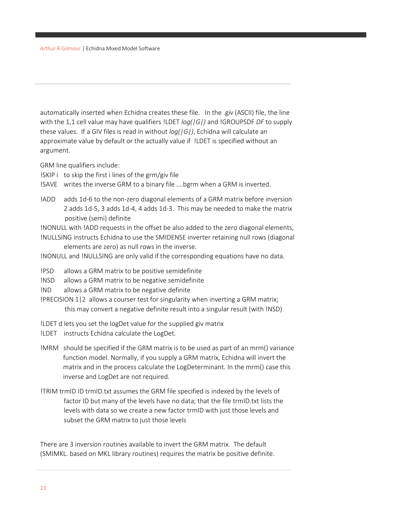automatically inserted when Echidna creates these file. In the .giv (ASCII) file, the line with the 1,1 cell value may have qualifiers !LDET *log(|G|)* and !GROUPSDF *DF* to supply these values. If a GIV files is read in without *log(|G|)*, Echidna will calculate an approximate value by default or the actually value if !LDET is specified without an argument.

GRM line qualifiers include:

- !SKIP i to skip the first i lines of the grm/giv file
- !SAVE writes the inverse GRM to a binary file ….bgrm when a GRM is inverted.
- !ADD adds 1d-6 to the non-zero diagonal elements of a GRM matrix before inversion 2 adds 1d-5, 3 adds 1d-4, 4 adds 1d-3. This may be needed to make the matrix positive (semi) definite
- !NONULL with !ADD requests in the offset be also added to the zero diagonal elements, !NULLSING instructs Echidna to use the SMIDENSE inverter retaining null rows (diagonal elements are zero) as null rows in the inverse.
- !NONULL and !NULLSING are only valid if the corresponding equations have no data.
- !PSD allows a GRM matrix to be positive semidefinite
- !NSD allows a GRM matrix to be negative semidefinite
- !ND allows a GRM matrix to be negative definite
- !PRECISION 1|2 allows a courser test for singularity when inverting a GRM matrix; this may convert a negative definite result into a singular result (with !NSD)
- !LDET d lets you set the logDet value for the supplied giv matrix
- !LDET instructs Echidna calculate the LogDet.
- !MRM should be specified if the GRM matrix is to be used as part of an mrm() variance function model. Normally, if you supply a GRM matrix, Echidna will invert the matrix and in the process calculate the LogDeterminant. In the mrm() case this inverse and LogDet are not required.
- !TRIM trmID ID trmID.txt assumes the GRM file specified is indexed by the levels of factor ID but many of the levels have no data; that the file trmID.txt lists the levels with data so we create a new factor trmID with just those levels and subset the GRM matrix to just those levels

There are 3 inversion routines available to invert the GRM matrix. The default (SMIMKL. based on MKL library routines) requires the matrix be positive definite.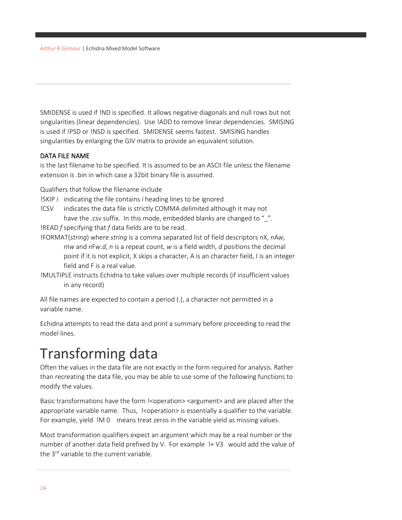SMIDENSE is used if !ND is specified. It allows negative diagonals and null rows but not singularities (linear dependencies). Use !ADD to remove linear dependencies. SMISING is used if !PSD or !NSD is specified. SMIDENSE seems fastest. SMISING handles singularities by enlarging the GIV matrix to provide an equivalent solution.

#### DATA FILE NAME

is the last filename to be specified. It is assumed to be an ASCII file unless the filename extension is .bin in which case a 32bit binary file is assumed.

Qualifiers that follow the filename include

- !SKIP *i* indicating the file contains *i* heading lines to be ignored
- !CSV indicates the data file is strictly COMMA delimited although it may not have the .csv suffix. In this mode, embedded blanks are changed to "".
- !READ *f* specifying that *f* data fields are to be read.
- !FORMAT(*string*) where *string* is a comma separated list of field descriptors *n*X, *n*A*w*, *n*I*w* and *n*F*w.d*, *n* is a repeat count, *w* is a field width, *d* positions the decimal point if it is not explicit, X skips a character, A is an character field, I is an integer field and F is a real value.
- !MULTIPLE instructs Echidna to take values over multiple records (if insufficient values in any record)

All file names are expected to contain a period (.), a character not permitted in a variable name.

Echidna attempts to read the data and print a summary before proceeding to read the model lines.

## <span id="page-23-0"></span>Transforming data

Often the values in the data file are not exactly in the form required for analysis. Rather than recreating the data file, you may be able to use some of the following functions to modify the values.

Basic transformations have the form !<operation> <argument> and are placed after the appropriate variable name. Thus, !<operation> is essentially a qualifier to the variable. For example, yield !M 0 means treat zeros in the variable yield as missing values.

Most transformation qualifiers expect an argument which may be a real number or the number of another data field prefixed by V. For example !+ V3 would add the value of the 3<sup>rd</sup> variable to the current variable.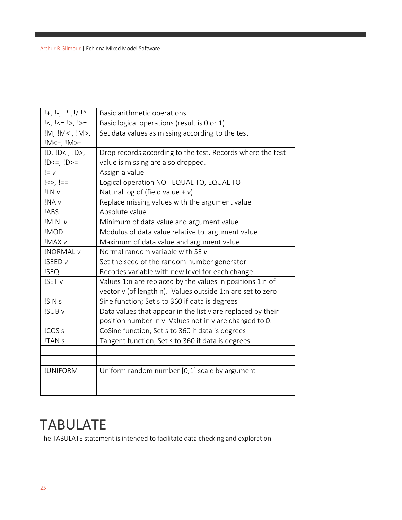| $ +,$ $ -,$ $ $ *, $ /$ $  \wedge$      | Basic arithmetic operations                                 |
|-----------------------------------------|-------------------------------------------------------------|
| $\vert <, \vert < = \vert >, \vert > =$ | Basic logical operations (result is 0 or 1)                 |
| IM, IM<, IM>                            | Set data values as missing according to the test            |
| $!M<=, !M>=$                            |                                                             |
| $ID, ID<, ID>$ ,                        | Drop records according to the test. Records where the test  |
| $ D<=$ , $ D>=$                         | value is missing are also dropped.                          |
| $I = V$                                 | Assign a value                                              |
| $ <>$ , $  ==$                          | Logical operation NOT EQUAL TO, EQUAL TO                    |
| !LN v                                   | Natural log of (field value + $v$ )                         |
| !NA <sub>v</sub>                        | Replace missing values with the argument value              |
| !ABS                                    | Absolute value                                              |
| !MIN v                                  | Minimum of data value and argument value                    |
| !MOD                                    | Modulus of data value relative to argument value            |
| !MAX v                                  | Maximum of data value and argument value                    |
| <b>!NORMAL v</b>                        | Normal random variable with SE v                            |
| <b>ISEED v</b>                          | Set the seed of the random number generator                 |
| <b>ISEQ</b>                             | Recodes variable with new level for each change             |
| !SET v                                  | Values 1:n are replaced by the values in positions 1:n of   |
|                                         | vector v (of length n). Values outside 1:n are set to zero  |
| !SIN s                                  | Sine function; Set s to 360 if data is degrees              |
| <b>ISUB v</b>                           | Data values that appear in the list v are replaced by their |
|                                         | position number in v. Values not in v are changed to 0.     |
| !COS s                                  | CoSine function; Set s to 360 if data is degrees            |
| !TAN s                                  | Tangent function; Set s to 360 if data is degrees           |
|                                         |                                                             |
|                                         |                                                             |
| !UNIFORM                                | Uniform random number [0,1] scale by argument               |
|                                         |                                                             |
|                                         |                                                             |

### <span id="page-24-0"></span>TABULATE

The TABULATE statement is intended to facilitate data checking and exploration.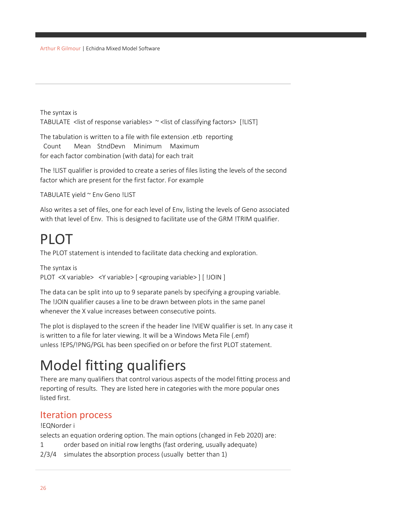The syntax is TABULATE <list of response variables> ~ <list of classifying factors> [!LIST]

The tabulation is written to a file with file extension .etb reporting Count Mean StndDevn Minimum Maximum for each factor combination (with data) for each trait

The !LIST qualifier is provided to create a series of files listing the levels of the second factor which are present for the first factor. For example

```
TABULATE yield ~ Env Geno !LIST
```
Also writes a set of files, one for each level of Env, listing the levels of Geno associated with that level of Env. This is designed to facilitate use of the GRM !TRIM qualifier.

## <span id="page-25-0"></span>PLOT

The PLOT statement is intended to facilitate data checking and exploration.

```
The syntax is
PLOT <X variable> <Y variable> [ <grouping variable> ] [ !JOIN ]
```
The data can be split into up to 9 separate panels by specifying a grouping variable. The !JOIN qualifier causes a line to be drawn between plots in the same panel whenever the X value increases between consecutive points.

The plot is displayed to the screen if the header line !VIEW qualifier is set. In any case it is written to a file for later viewing. It will be a Windows Meta File (.emf) unless !EPS/!PNG/PGL has been specified on or before the first PLOT statement.

## <span id="page-25-1"></span>Model fitting qualifiers

There are many qualifiers that control various aspects of the model fitting process and reporting of results. They are listed here in categories with the more popular ones listed first.

#### <span id="page-25-2"></span>Iteration process

#### !EQNorder i

selects an equation ordering option. The main options (changed in Feb 2020) are:

- 1 order based on initial row lengths (fast ordering, usually adequate)
- 2/3/4 simulates the absorption process (usually better than 1)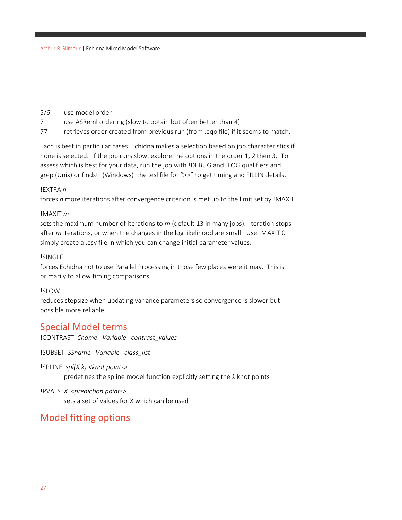- 5/6 use model order
- 7 use ASReml ordering (slow to obtain but often better than 4)
- 77 retrieves order created from previous run (from .eqo file) if it seems to match.

Each is best in particular cases. Echidna makes a selection based on job characteristics if none is selected. If the job runs slow, explore the options in the order 1, 2 then 3. To assess which is best for your data, run the job with !DEBUG and !LOG qualifiers and grep (Unix) or findstr (Windows) the .esl file for ">>" to get timing and FILLIN details.

#### !EXTRA *n*

forces *n* more iterations after convergence criterion is met up to the limit set by !MAXIT

#### !MAXIT *m*

sets the maximum number of iterations to *m* (default 13 in many jobs). Iteration stops after *m* iterations, or when the changes in the log likelihood are small. Use !MAXIT 0 simply create a .esv file in which you can change initial parameter values.

#### !SINGLE

forces Echidna not to use Parallel Processing in those few places were it may. This is primarily to allow timing comparisons.

#### !SLOW

reduces stepsize when updating variance parameters so convergence is slower but possible more reliable.

#### <span id="page-26-0"></span>Special Model terms

!CONTRAST *Cname Variable contrast\_values*

!SUBSET *SSname Variable class\_list*

!SPLINE *spl(X,k) <knot points>*

predefines the spline model function explicitly setting the *k* knot points

#### !PVALS *X <prediction points>*

sets a set of values for X which can be used

#### <span id="page-26-1"></span>Model fitting options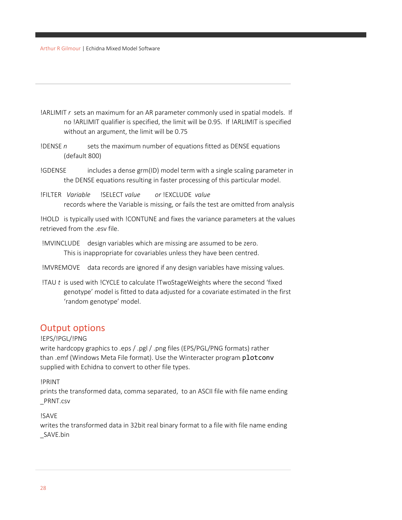- !ARLIMIT *r* sets an maximum for an AR parameter commonly used in spatial models. If no !ARLIMIT qualifier is specified, the limit will be 0.95. If !ARLIMIT is specified without an argument, the limit will be 0.75
- !DENSE *n* sets the maximum number of equations fitted as DENSE equations (default 800)
- !GDENSE includes a dense grm(ID) model term with a single scaling parameter in the DENSE equations resulting in faster processing of this particular model.
- !FILTER *Variable* !SELECT *value or* !EXCLUDE *value* records where the Variable is missing, or fails the test are omitted from analysis

!HOLD is typically used with !CONTUNE and fixes the variance parameters at the values retrieved from the .esv file.

- !MVINCLUDE design variables which are missing are assumed to be zero. This is inappropriate for covariables unless they have been centred.
- !MVREMOVE data records are ignored if any design variables have missing values.
- !TAU *t* is used with !CYCLE to calculate !TwoStageWeights where the second 'fixed genotype' model is fitted to data adjusted for a covariate estimated in the first 'random genotype' model.

#### <span id="page-27-0"></span>Output options

#### !EPS/!PGL/!PNG

write hardcopy graphics to .eps / .pgl / .png files (EPS/PGL/PNG formats) rather than .emf (Windows Meta File format). Use the Winteracter program plotconv supplied with Echidna to convert to other file types.

#### !PRINT

prints the transformed data, comma separated, to an ASCII file with file name ending \_PRNT.csv

#### !SAVE

writes the transformed data in 32bit real binary format to a file with file name ending \_SAVE.bin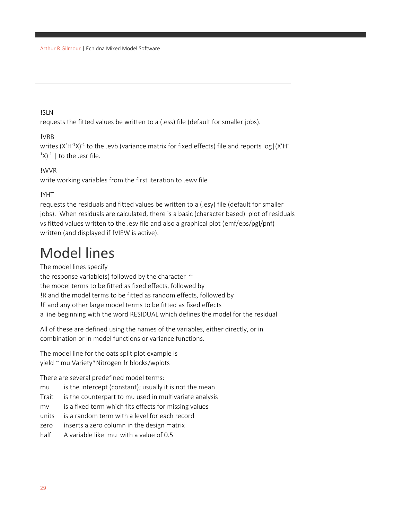#### !SLN

requests the fitted values be written to a (.ess) file (default for smaller jobs).

#### !VRB

writes (X'H<sup>-1</sup>X)<sup>-1</sup> to the .evb (variance matrix for fixed effects) file and reports log|(X'H<sup>-</sup>  $(1)(x)^{-1}$  | to the .esr file.

#### !WVR

write working variables from the first iteration to .ewv file

#### !YHT

requests the residuals and fitted values be written to a (.esy) file (default for smaller jobs). When residuals are calculated, there is a basic (character based) plot of residuals vs fitted values written to the .esv file and also a graphical plot (emf/eps/pgl/pnf) written (and displayed if !VIEW is active).

## <span id="page-28-0"></span>Model lines

The model lines specify the response variable(s) followed by the character  $\sim$ the model terms to be fitted as fixed effects, followed by !R and the model terms to be fitted as random effects, followed by

!F and any other large model terms to be fitted as fixed effects

a line beginning with the word RESIDUAL which defines the model for the residual

All of these are defined using the names of the variables, either directly, or in combination or in model functions or variance functions.

The model line for the oats split plot example is yield ~ mu Variety\*Nitrogen !r blocks/wplots

There are several predefined model terms:

mu is the intercept (constant); usually it is not the mean

Trait is the counterpart to mu used in multivariate analysis

mv is a fixed term which fits effects for missing values

units is a random term with a level for each record

zero inserts a zero column in the design matrix

half A variable like mu with a value of 0.5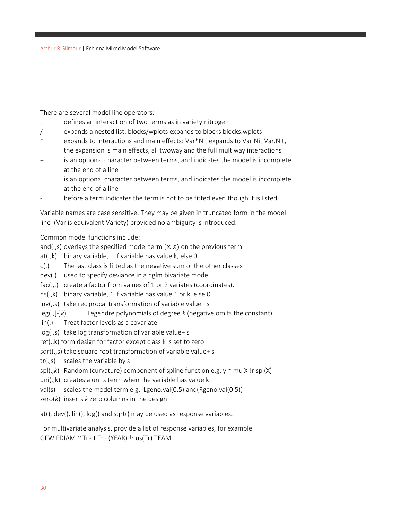There are several model line operators:

- . defines an interaction of two terms as in variety.nitrogen
- / expands a nested list: blocks/wplots expands to blocks blocks.wplots
- \* expands to interactions and main effects: Var\*Nit expands to Var Nit Var.Nit, the expansion is main effects, all twoway and the full multiway interactions
- + is an optional character between terms, and indicates the model is incomplete at the end of a line
- is an optional character between terms, and indicates the model is incomplete at the end of a line
- before a term indicates the term is not to be fitted even though it is listed

Variable names are case sensitive. They may be given in truncated form in the model line (Var is equivalent Variety) provided no ambiguity is introduced.

Common model functions include:

and(.,s) overlays the specified model term  $(x s)$  on the previous term

- at(.,k) binary variable, 1 if variable has value k, else 0
- c(.) The last class is fitted as the negative sum of the other classes
- dev(.) used to specify deviance in a hglm bivariate model
- fac(.,.) create a factor from values of 1 or 2 variates (coordinates).
- hs(.,k) binary variable, 1 if variable has value 1 or k, else 0
- inv(,.s) take reciprocal transformation of variable value+ s
- leg(.,[-]*k*) Legendre polynomials of degree *k* (negative omits the constant)
- lin(.) Treat factor levels as a covariate
- log(.,s) take log transformation of variable value+ s
- ref(.,k) form design for factor except class k is set to zero
- sqrt(.,s) take square root transformation of variable value+ s
- tr(.,s) scales the variable by s
- spl(., $k$ ) Random (curvature) component of spline function e.g.  $y \sim m \alpha$  X !r spl(X)
- uni(.,k) creates a units term when the variable has value k
- val(s) scales the model term e.g. Lgeno.val(0.5) and(Rgeno.val(0.5))
- zero(*k*) inserts *k* zero columns in the design

at(), dev(), lin(), log() and sqrt() may be used as response variables.

For multivariate analysis, provide a list of response variables, for example GFW FDIAM ~ Trait Tr.c(YEAR) !r us(Tr).TEAM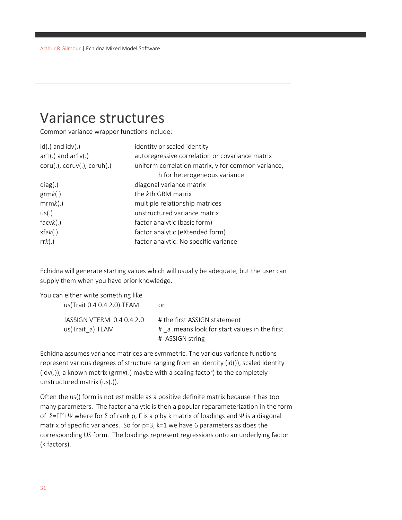## <span id="page-30-0"></span>Variance structures

Common variance wrapper functions include:

| $id(.)$ and $idv(.)$                | identity or scaled identity                        |
|-------------------------------------|----------------------------------------------------|
| $ar1(.)$ and $ar1v(.)$              | autoregressive correlation or covariance matrix    |
| $coru(.)$ , $coruv(.)$ , $coruh(.)$ | uniform correlation matrix, v for common variance, |
|                                     | h for heterogeneous variance                       |
| diag(.)                             | diagonal variance matrix                           |
| grmk(.)                             | the kth GRM matrix                                 |
| mrmk(.)                             | multiple relationship matrices                     |
| us(.)                               | unstructured variance matrix                       |
| facvk(.)                            | factor analytic (basic form)                       |
| xfak(.)                             | factor analytic (eXtended form)                    |
| rrk(.)                              | factor analytic: No specific variance              |

Echidna will generate starting values which will usually be adequate, but the user can supply them when you have prior knowledge.

| You can either write something like          |                                                                              |
|----------------------------------------------|------------------------------------------------------------------------------|
| us(Trait 0.4 0.4 2.0).TEAM                   | or                                                                           |
| ASSIGN VTERM 0.4 0.4 2.0<br>us(Trait a).TEAM | # the first ASSIGN statement<br># a means look for start values in the first |
|                                              | # ASSIGN string                                                              |

Echidna assumes variance matrices are symmetric. The various variance functions represent various degrees of structure ranging from an Identity (id()), scaled identity (idv(.)), a known matrix (grm*k*(.) maybe with a scaling factor) to the completely unstructured matrix (us(.)).

Often the us() form is not estimable as a positive definite matrix because it has too many parameters. The factor analytic is then a popular reparameterization in the form of  $\Sigma = \Gamma' + \Psi$  where for Σ of rank p, Γ is a p by k matrix of loadings and Ψ is a diagonal matrix of specific variances. So for p=3, k=1 we have 6 parameters as does the corresponding US form. The loadings represent regressions onto an underlying factor (k factors).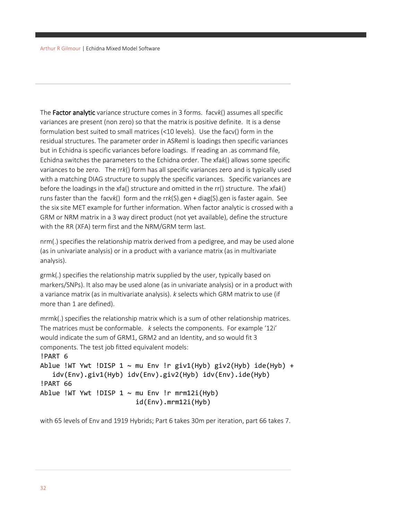The Factor analytic variance structure comes in 3 forms. facv*k*() assumes all specific variances are present (non zero) so that the matrix is positive definite. It is a dense formulation best suited to small matrices (<10 levels). Use the facv() form in the residual structures. The parameter order in ASReml is loadings then specific variances but in Echidna is specific variances before loadings. If reading an .as command file, Echidna switches the parameters to the Echidna order. The xfa*k*() allows some specific variances to be zero. The rr*k*() form has all specific variances zero and is typically used with a matching DIAG structure to supply the specific variances. Specific variances are before the loadings in the xfa() structure and omitted in the rr() structure. The xfa*k*() runs faster than the facv*k*() form and the rr*k*(S).gen + diag(S).gen is faster again. See the six site MET example for further information. When factor analytic is crossed with a GRM or NRM matrix in a 3 way direct product (not yet available), define the structure with the RR (XFA) term first and the NRM/GRM term last.

nrm(.) specifies the relationship matrix derived from a pedigree, and may be used alone (as in univariate analysis) or in a product with a variance matrix (as in multivariate analysis).

grmk(.) specifies the relationship matrix supplied by the user, typically based on markers/SNPs). It also may be used alone (as in univariate analysis) or in a product with a variance matrix (as in multivariate analysis). *k* selects which GRM matrix to use (if more than 1 are defined).

mrmk(.) specifies the relationship matrix which is a sum of other relationship matrices. The matrices must be conformable. *k* selects the components. For example '12i' would indicate the sum of GRM1, GRM2 and an Identity, and so would fit 3 components. The test job fitted equivalent models:

```
!PART 6
Ablue !WT Ywt !DISP 1 \sim mu Env !r giv1(Hyb) giv2(Hyb) ide(Hyb) +
    idv(Env).giv1(Hyb) idv(Env).giv2(Hyb) idv(Env).ide(Hyb)
!PART 66
Ablue !WT Ywt !DISP 1 \sim mu Env !r mrm12i(Hyb)
                          id(Env).mrm12i(Hyb)
```
with 65 levels of Env and 1919 Hybrids; Part 6 takes 30m per iteration, part 66 takes 7.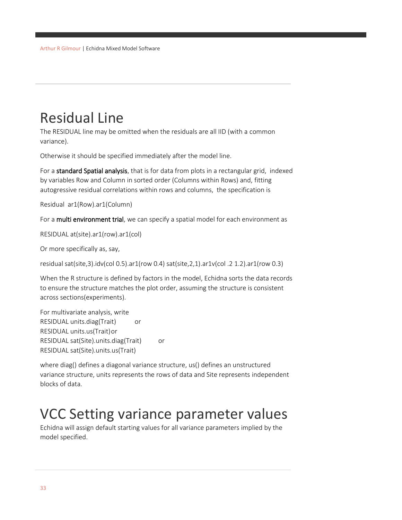## <span id="page-32-0"></span>Residual Line

The RESIDUAL line may be omitted when the residuals are all IID (with a common variance).

Otherwise it should be specified immediately after the model line.

For a standard Spatial analysis, that is for data from plots in a rectangular grid, indexed by variables Row and Column in sorted order (Columns within Rows) and, fitting autogressive residual correlations within rows and columns, the specification is

```
Residual ar1(Row).ar1(Column)
```
For a multi environment trial, we can specify a spatial model for each environment as

RESIDUAL at(site).ar1(row).ar1(col)

Or more specifically as, say,

residual sat(site,3).idv(col 0.5).ar1(row 0.4) sat(site,2,1).ar1v(col .2 1.2).ar1(row 0.3)

When the R structure is defined by factors in the model, Echidna sorts the data records to ensure the structure matches the plot order, assuming the structure is consistent across sections(experiments).

For multivariate analysis, write RESIDUAL units.diag(Trait) or RESIDUAL units.us(Trait)or RESIDUAL sat(Site).units.diag(Trait) or RESIDUAL sat(Site).units.us(Trait)

where diag() defines a diagonal variance structure, us() defines an unstructured variance structure, units represents the rows of data and Site represents independent blocks of data.

## <span id="page-32-1"></span>VCC Setting variance parameter values

Echidna will assign default starting values for all variance parameters implied by the model specified.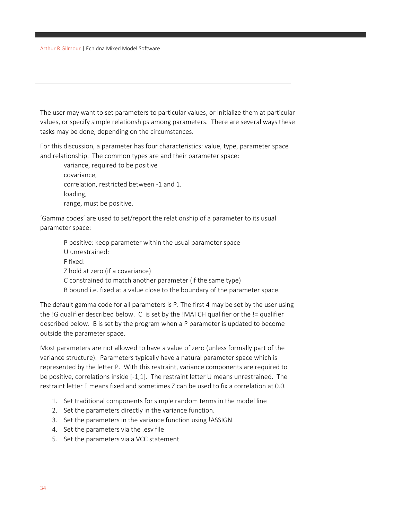The user may want to set parameters to particular values, or initialize them at particular values, or specify simple relationships among parameters. There are several ways these tasks may be done, depending on the circumstances.

For this discussion, a parameter has four characteristics: value, type, parameter space and relationship. The common types are and their parameter space:

variance, required to be positive covariance, correlation, restricted between -1 and 1. loading, range, must be positive.

'Gamma codes' are used to set/report the relationship of a parameter to its usual parameter space:

- P positive: keep parameter within the usual parameter space U unrestrained: F fixed: Z hold at zero (if a covariance) C constrained to match another parameter (if the same type)
- B bound i.e. fixed at a value close to the boundary of the parameter space.

The default gamma code for all parameters is P. The first 4 may be set by the user using the !G qualifier described below. C is set by the !MATCH qualifier or the != qualifier described below. B is set by the program when a P parameter is updated to become outside the parameter space.

Most parameters are not allowed to have a value of zero (unless formally part of the variance structure). Parameters typically have a natural parameter space which is represented by the letter P. With this restraint, variance components are required to be positive, correlations inside [-1,1]. The restraint letter U means unrestrained. The restraint letter F means fixed and sometimes Z can be used to fix a correlation at 0.0.

- 1. Set traditional components for simple random terms in the model line
- 2. Set the parameters directly in the variance function.
- 3. Set the parameters in the variance function using !ASSIGN
- 4. Set the parameters via the .esv file
- 5. Set the parameters via a VCC statement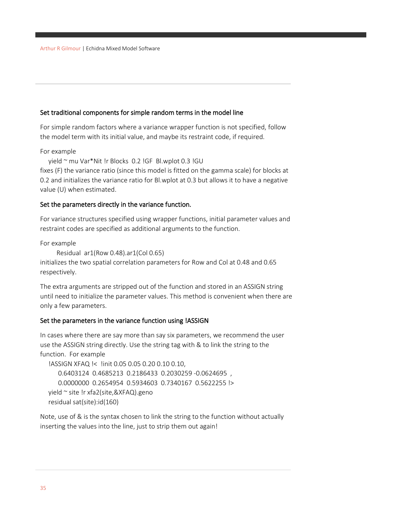#### Set traditional components for simple random terms in the model line

For simple random factors where a variance wrapper function is not specified, follow the model term with its initial value, and maybe its restraint code, if required.

For example

yield ~ mu Var\*Nit !r Blocks 0.2 !GF Bl.wplot 0.3 !GU

fixes (F) the variance ratio (since this model is fitted on the gamma scale) for blocks at 0.2 and initializes the variance ratio for Bl.wplot at 0.3 but allows it to have a negative value (U) when estimated.

#### Set the parameters directly in the variance function.

For variance structures specified using wrapper functions, initial parameter values and restraint codes are specified as additional arguments to the function.

For example

```
 Residual ar1(Row 0.48).ar1(Col 0.65)
```
initializes the two spatial correlation parameters for Row and Col at 0.48 and 0.65 respectively.

The extra arguments are stripped out of the function and stored in an ASSIGN string until need to initialize the parameter values. This method is convenient when there are only a few parameters.

#### Set the parameters in the variance function using !ASSIGN

In cases where there are say more than say six parameters, we recommend the user use the ASSIGN string directly. Use the string tag with & to link the string to the function. For example

!ASSIGN XFAQ !< !init 0.05 0.05 0.20 0.10 0.10, 0.6403124 0.4685213 0.2186433 0.2030259 -0.0624695 , 0.0000000 0.2654954 0.5934603 0.7340167 0.5622255 !> yield ~ site !r xfa2(site,&XFAQ).geno residual sat(site):id(160)

Note, use of & is the syntax chosen to link the string to the function without actually inserting the values into the line, just to strip them out again!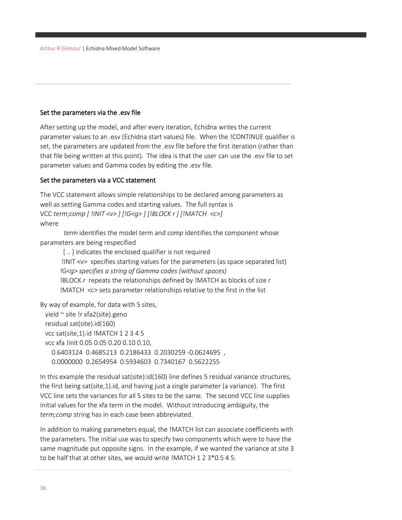#### Set the parameters via the .esv file

After setting up the model, and after every iteration, Echidna writes the current parameter values to an .esv (Echidna start values) file. When the !CONTINUE qualifier is set, the parameters are updated from the .esv file before the first iteration (rather than that file being written at this point). The idea is that the user can use the .esv file to set parameter values and Gamma codes by editing the .esv file.

#### Set the parameters via a VCC statement

The VCC statement allows simple relationships to be declared among parameters as well as setting Gamma codes and starting values. The full syntax is VCC *term;comp [ !INIT <v> ] [!G<g> ] [!BLOCK r ] [!MATCH <c>]* where

*term* identifies the model term and *comp* identifies the component whose parameters are being respecified

[..] indicates the enclosed qualifier is not required !INIT *<v>* specifies starting values for the parameters (as space separated list) !G*<g> specifies a string of Gamma codes (without spaces)* !BLOCK *r* repeats the relationships defined by !MATCH as blocks of size r !MATCH *<c>* sets parameter relationships relative to the first in the list

By way of example, for data with 5 sites, yield ~ site !r xfa2(site).geno residual sat(site).id(160) vcc sat(site,1).id !MATCH 1 2 3 4 5 vcc xfa !init 0.05 0.05 0.20 0.10 0.10, 0.6403124 0.4685213 0.2186433 0.2030259 -0.0624695 , 0.0000000 0.2654954 0.5934603 0.7340167 0.5622255

In this example the residual sat(site):id(160) line defines 5 residual variance structures, the first being sat(site,1).id, and having just a single parameter (a variance). The first VCC line sets the variances for all 5 sites to be the same. The second VCC line supplies initial values for the xfa term in the model. Without introducing ambiguity, the *term;comp* string has in each case been abbreviated.

In addition to making parameters equal, the !MATCH list can associate coefficients with the parameters. The initial use was to specify two components which were to have the same magnitude put opposite signs. In the example, if we wanted the variance at site 3 to be half that at other sites, we would write !MATCH 1 2 3\*0.5 4 5.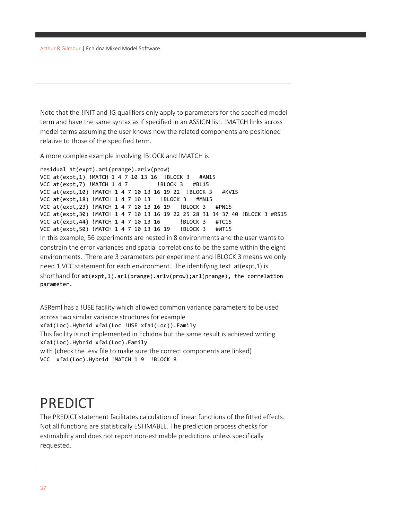Note that the !INIT and !G qualifiers only apply to parameters for the specified model term and have the same syntax as if specified in an ASSIGN list. !MATCH links across model terms assuming the user knows how the related components are positioned relative to those of the specified term.

A more complex example involving !BLOCK and !MATCH is

```
residual at(expt).ar1(prange).ar1v(prow)
VCC at(expt,1) !MATCH 1 4 7 10 13 16 !BLOCK 3 #AN15
VCC at(expt,7) !MATCH 1 4 7 !BLOCK 3 #BL15
VCC at(expt,10) !MATCH 1 4 7 10 13 16 19 22 !BLOCK 3 #KV15
VCC at(expt,18) !MATCH 1 4 7 10 13 !BLOCK 3 #MN15
VCC at(expt,23) !MATCH 1 4 7 10 13 16 19 !BLOCK 3 #PN15
VCC at(expt,30) !MATCH 1 4 7 10 13 16 19 22 25 28 31 34 37 40 !BLOCK 3 #RS15
VCC at(expt, 44) !MATCH 1 4 7 10 13 16 !BLOCK 3 #TC15
VCC at(expt,50) !MATCH 1 4 7 10 13 16 19 !BLOCK 3 #WT15
In this example, 56 experiments are nested in 8 environments and the user wants to 
constrain the error variances and spatial correlations to be the same within the eight 
environments. There are 3 parameters per experiment and !BLOCK 3 means we only 
need 1 VCC statement for each environment. The identifying text at(expt,1) is 
shorthand for at(expt,1).ar1(prange).ar1v(prow);ar1(prange), the correlation 
parameter.
```
ASReml has a !USE facility which allowed common variance parameters to be used across two similar variance structures for example xfa1(Loc).Hybrid xfa1(Loc !USE xfa1(Loc)).Family This facility is not implemented in Echidna but the same result is achieved writing xfa1(Loc).Hybrid xfa1(Loc).Family with (check the .esv file to make sure the correct components are linked) VCC xfa1(Loc).Hybrid !MATCH 1 9 !BLOCK 8

# PREDICT

The PREDICT statement facilitates calculation of linear functions of the fitted effects. Not all functions are statistically ESTIMABLE. The prediction process checks for estimability and does not report non-estimable predictions unless specifically requested.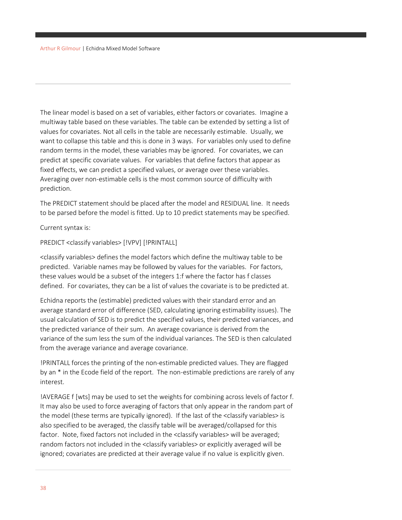The linear model is based on a set of variables, either factors or covariates. Imagine a multiway table based on these variables. The table can be extended by setting a list of values for covariates. Not all cells in the table are necessarily estimable. Usually, we want to collapse this table and this is done in 3 ways. For variables only used to define random terms in the model, these variables may be ignored. For covariates, we can predict at specific covariate values. For variables that define factors that appear as fixed effects, we can predict a specified values, or average over these variables. Averaging over non-estimable cells is the most common source of difficulty with prediction.

The PREDICT statement should be placed after the model and RESIDUAL line. It needs to be parsed before the model is fitted. Up to 10 predict statements may be specified.

Current syntax is:

PREDICT <classify variables> [!VPV] [!PRINTALL]

<classify variables> defines the model factors which define the multiway table to be predicted. Variable names may be followed by values for the variables. For factors, these values would be a subset of the integers 1:f where the factor has f classes defined. For covariates, they can be a list of values the covariate is to be predicted at.

Echidna reports the (estimable) predicted values with their standard error and an average standard error of difference (SED, calculating ignoring estimability issues). The usual calculation of SED is to predict the specified values, their predicted variances, and the predicted variance of their sum. An average covariance is derived from the variance of the sum less the sum of the individual variances. The SED is then calculated from the average variance and average covariance.

!PRINTALL forces the printing of the non-estimable predicted values. They are flagged by an \* in the Ecode field of the report. The non-estimable predictions are rarely of any interest.

!AVERAGE f [wts] may be used to set the weights for combining across levels of factor f. It may also be used to force averaging of factors that only appear in the random part of the model (these terms are typically ignored). If the last of the <classify variables> is also specified to be averaged, the classify table will be averaged/collapsed for this factor. Note, fixed factors not included in the <classify variables> will be averaged; random factors not included in the <classify variables> or explicitly averaged will be ignored; covariates are predicted at their average value if no value is explicitly given.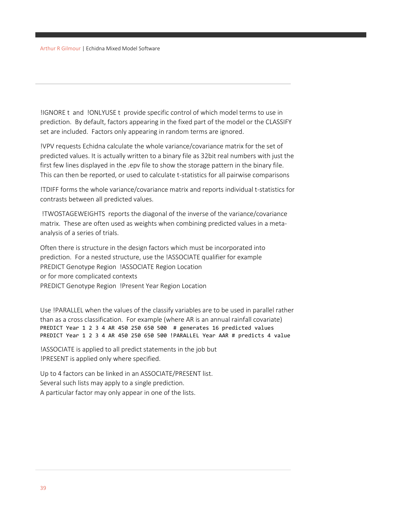!IGNORE t and !ONLYUSE t provide specific control of which model terms to use in prediction. By default, factors appearing in the fixed part of the model or the CLASSIFY set are included. Factors only appearing in random terms are ignored.

!VPV requests Echidna calculate the whole variance/covariance matrix for the set of predicted values. It is actually written to a binary file as 32bit real numbers with just the first few lines displayed in the .epv file to show the storage pattern in the binary file. This can then be reported, or used to calculate t-statistics for all pairwise comparisons

!TDIFF forms the whole variance/covariance matrix and reports individual t-statistics for contrasts between all predicted values.

!TWOSTAGEWEIGHTS reports the diagonal of the inverse of the variance/covariance matrix. These are often used as weights when combining predicted values in a metaanalysis of a series of trials.

Often there is structure in the design factors which must be incorporated into prediction. For a nested structure, use the !ASSOCIATE qualifier for example PREDICT Genotype Region !ASSOCIATE Region Location or for more complicated contexts PREDICT Genotype Region !Present Year Region Location

Use !PARALLEL when the values of the classify variables are to be used in parallel rather than as a cross classification. For example (where AR is an annual rainfall covariate) PREDICT Year 1 2 3 4 AR 450 250 650 500 # generates 16 predicted values PREDICT Year 1 2 3 4 AR 450 250 650 500 !PARALLEL Year AAR # predicts 4 value

!ASSOCIATE is applied to all predict statements in the job but !PRESENT is applied only where specified.

Up to 4 factors can be linked in an ASSOCIATE/PRESENT list. Several such lists may apply to a single prediction. A particular factor may only appear in one of the lists.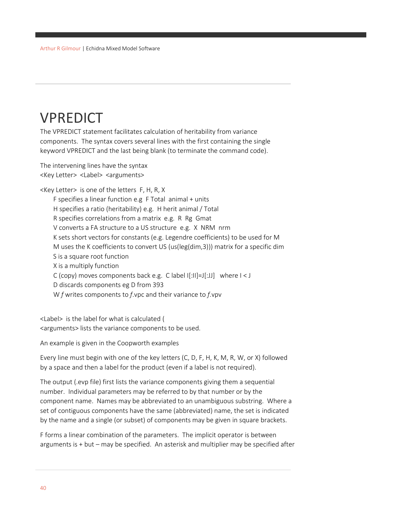# VPREDICT

The VPREDICT statement facilitates calculation of heritability from variance components. The syntax covers several lines with the first containing the single keyword VPREDICT and the last being blank (to terminate the command code).

The intervening lines have the syntax <Key Letter> <Label> <arguments>

<Key Letter> is one of the letters F, H, R, X F specifies a linear function e.g F Total animal + units H specifies a ratio (heritability) e.g. H herit animal / Total R specifies correlations from a matrix e.g. R Rg Gmat V converts a FA structure to a US structure e.g. X NRM nrm K sets short vectors for constants (e.g. Legendre coefficients) to be used for M M uses the K coefficients to convert US (us(leg(dim,3))) matrix for a specific dim S is a square root function X is a multiply function C (copy) moves components back e.g. C label  $|[\cdot||] = |[\cdot, J]|$  where  $| \lt J$  D discards components eg D from 393 W *f* writes components to *f*.vpc and their variance to *f*.vpv

<Label> is the label for what is calculated ( <arguments> lists the variance components to be used.

An example is given in the Coopworth examples

Every line must begin with one of the key letters (C, D, F, H, K, M, R, W, or X) followed by a space and then a label for the product (even if a label is not required).

The output (.evp file) first lists the variance components giving them a sequential number. Individual parameters may be referred to by that number or by the component name. Names may be abbreviated to an unambiguous substring. Where a set of contiguous components have the same (abbreviated) name, the set is indicated by the name and a single (or subset) of components may be given in square brackets.

F forms a linear combination of the parameters. The implicit operator is between arguments is + but – may be specified. An asterisk and multiplier may be specified after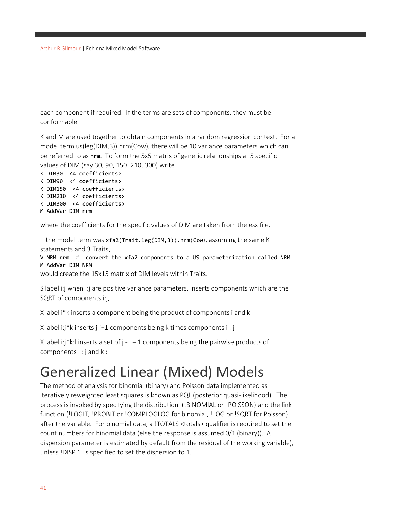each component if required. If the terms are sets of components, they must be conformable.

K and M are used together to obtain components in a random regression context. For a model term us(leg(DIM,3)).nrm(Cow), there will be 10 variance parameters which can be referred to as nrm. To form the 5x5 matrix of genetic relationships at 5 specific values of DIM (say 30, 90, 150, 210, 300) write K DIM30 <4 coefficients>

```
K DIM90 <4 coefficients>
K DIM150 <4 coefficients>
K DIM210 <4 coefficients> 
K DIM300 <4 coefficients>
M AddVar DIM nrm
```
where the coefficients for the specific values of DIM are taken from the esx file.

If the model term was xfa2(Trait.leg(DIM,3)).nrm(Cow), assuming the same K statements and 3 Traits, V NRM nrm # convert the xfa2 components to a US parameterization called NRM M AddVar DIM NRM would create the 15x15 matrix of DIM levels within Traits.

S label i:j when i:j are positive variance parameters, inserts components which are the SQRT of components i:j,

X label i\*k inserts a component being the product of components i and k

X label i:j\*k inserts j-i+1 components being k times components i : j

```
X label i:j*k:l inserts a set of j - i + 1 components being the pairwise products of
components i : j and k : l
```
# Generalized Linear (Mixed) Models

The method of analysis for binomial (binary) and Poisson data implemented as iteratively reweighted least squares is known as PQL (posterior quasi-likelihood). The process is invoked by specifying the distribution (!BINOMIAL or !POISSON) and the link function (!LOGIT, !PROBIT or !COMPLOGLOG for binomial, !LOG or !SQRT for Poisson) after the variable. For binomial data, a !TOTALS <totals> qualifier is required to set the count numbers for binomial data (else the response is assumed 0/1 (binary)). A dispersion parameter is estimated by default from the residual of the working variable), unless !DISP 1 is specified to set the dispersion to 1.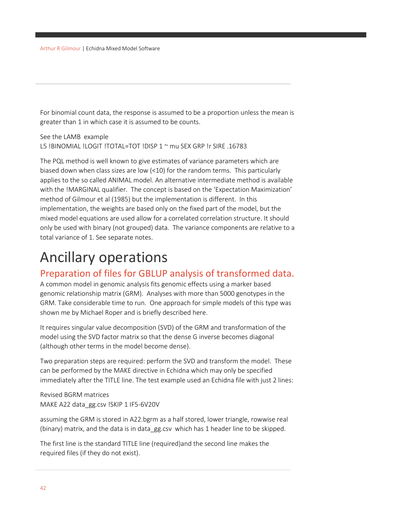For binomial count data, the response is assumed to be a proportion unless the mean is greater than 1 in which case it is assumed to be counts.

See the LAMB example L5 !BINOMIAL !LOGIT !TOTAL=TOT !DISP 1 ~ mu SEX GRP !r SIRE .16783

The PQL method is well known to give estimates of variance parameters which are biased down when class sizes are low (<10) for the random terms. This particularly applies to the so called ANIMAL model. An alternative intermediate method is available with the !MARGINAL qualifier. The concept is based on the 'Expectation Maximization' method of Gilmour et al (1985) but the implementation is different. In this implementation, the weights are based only on the fixed part of the model, but the mixed model equations are used allow for a correlated correlation structure. It should only be used with binary (not grouped) data. The variance components are relative to a total variance of 1. See separate notes.

# Ancillary operations

### Preparation of files for GBLUP analysis of transformed data.

A common model in genomic analysis fits genomic effects using a marker based genomic relationship matrix (GRM). Analyses with more than 5000 genotypes in the GRM. Take considerable time to run. One approach for simple models of this type was shown me by Michael Roper and is briefly described here.

It requires singular value decomposition (SVD) of the GRM and transformation of the model using the SVD factor matrix so that the dense G inverse becomes diagonal (although other terms in the model become dense).

Two preparation steps are required: perform the SVD and transform the model. These can be performed by the MAKE directive in Echidna which may only be specified immediately after the TITLE line. The test example used an Echidna file with just 2 lines:

Revised BGRM matrices MAKE A22 data\_gg.csv !SKIP 1 IF5-6V20V

assuming the GRM is stored in A22.bgrm as a half stored, lower triangle, rowwise real (binary) matrix, and the data is in data\_gg.csv which has 1 header line to be skipped.

The first line is the standard TITLE line (required)and the second line makes the required files (if they do not exist).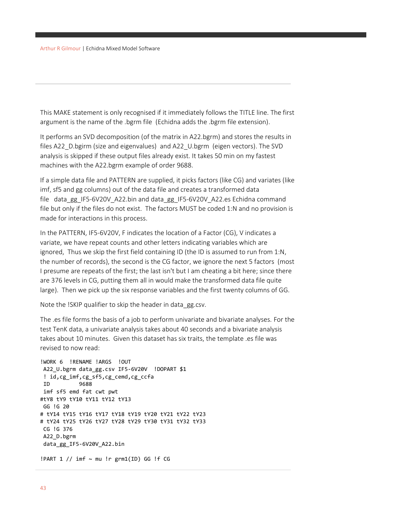This MAKE statement is only recognised if it immediately follows the TITLE line. The first argument is the name of the .bgrm file (Echidna adds the .bgrm file extension).

It performs an SVD decomposition (of the matrix in A22.bgrm) and stores the results in files A22\_D.bgirm (size and eigenvalues) and A22\_U.bgrm (eigen vectors). The SVD analysis is skipped if these output files already exist. It takes 50 min on my fastest machines with the A22.bgrm example of order 9688.

If a simple data file and PATTERN are supplied, it picks factors (like CG) and variates (like imf, sf5 and gg columns) out of the data file and creates a transformed data file data gg IF5-6V20V A22.bin and data gg IF5-6V20V A22.es Echidna command file but only if the files do not exist. The factors MUST be coded 1:N and no provision is made for interactions in this process.

In the PATTERN, IF5-6V20V, F indicates the location of a Factor (CG), V indicates a variate, we have repeat counts and other letters indicating variables which are ignored, Thus we skip the first field containing ID (the ID is assumed to run from 1:N, the number of records), the second is the CG factor, we ignore the next 5 factors (most I presume are repeats of the first; the last isn't but I am cheating a bit here; since there are 376 levels in CG, putting them all in would make the transformed data file quite large). Then we pick up the six response variables and the first twenty columns of GG.

Note the !SKIP qualifier to skip the header in data\_gg.csv.

The .es file forms the basis of a job to perform univariate and bivariate analyses. For the test TenK data, a univariate analysis takes about 40 seconds and a bivariate analysis takes about 10 minutes. Given this dataset has six traits, the template .es file was revised to now read:

```
!WORK 6 !RENAME !ARGS !OUT
A22_U.bgrm data_gg.csv IF5-6V20V !DOPART $1
 ! id,cg_imf,cg_sf5,cg_cemd,cg_ccfa
ID 9688
imf sf5 emd fat cwt pwt
#tY8 tY9 tY10 tY11 tY12 tY13
GG !G 20 
# tY14 tY15 tY16 tY17 tY18 tY19 tY20 tY21 tY22 tY23
# tY24 tY25 tY26 tY27 tY28 tY29 tY30 tY31 tY32 tY33
CG !G 376
A22_D.bgrm
data_gg_IF5-6V20V_A22.bin
!PART 1 // imf \sim mu !r grm1(ID) GG !f CG
```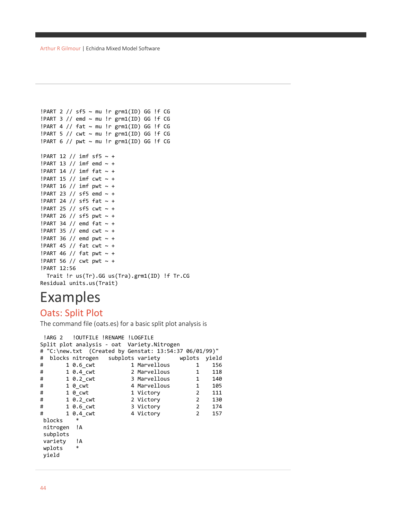```
!PART 2 // sf5 ~ mu !r grm1(ID) GG !f CG
!PART 3 // emd ~ mu !r grm1(ID) GG !f CG
!PART 4 // fat ~ mu !r grm1(ID) GG !f CG
!PART 5 // cwt ~ mu !r grm1(ID) GG !f CG
!PART 6 // pwt \sim mu !r grm1(ID) GG !f CG
!PART 12 // imf sf5 \sim +
!PART 13 // imf emd \sim +
!PART 14 // imf fat \sim +
!PART 15 // imf cwt \sim +
!PART 16 // imf pwt \sim +
!PART 23 // sf5 emd ~ +
!PART 24 // sf5 fat \sim +
!PART 25 // sf5 cwt ~ +
!PART 26 // sf5 pwt ~ +
!PART 34 // emd fat \sim +
!PART 35 // emd cwt ~ +
!PART 36 // emd pwt \sim +
!PART 45 // fat \text{cut} \sim +!PART 46 // fat pwt \sim +
!PART 56 // cwt pwt \sim +
!PART 12:56
   Trait !r us(Tr).GG us(Tra).grm1(ID) !f Tr.CG
Residual units.us(Trait)
```
# Examples

### Oats: Split Plot

The command file (oats.es) for a basic split plot analysis is

```
!ARG 2 !OUTFILE !RENAME !LOGFILE
Split plot analysis - oat Variety.Nitrogen
# "C:\new.txt (Created by Genstat: 13:54:37 06/01/99)"
# blocks nitrogen subplots variety wplots yield
# 1 0.6_cwt 1 Marvellous 1 156
# 1 0.4_cwt 2 Marvellous 1 118
# 1 0.2_cwt 3 Marvellous 1 140
# 1 0_cwt 4 Marvellous 1 105
# 1 0_cwt 1 Victory 2 111
# 1 0.2_cwt 2 Victory 2 130
# 1 0.6_cwt 3 Victory 2 174
# 1 0.4_cwt 4 Victory 2 157
blocks
nitrogen !A
subplots
variety !A<br>wnlots *
wplots
yield
```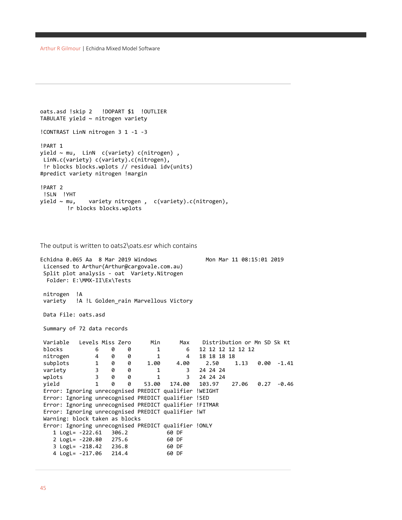```
oats.asd !skip 2 !DOPART $1 !OUTLIER
TABULATE yield ~ nitrogen variety
!CONTRAST LinN nitrogen 3 1 -1 -3
!PART 1
yield ~ mu, LinN c(variety) c(nitrogen) ,
 LinN.c(variety) c(variety).c(nitrogen),
 !r blocks blocks.wplots // residual idv(units)
#predict variety nitrogen !margin
!PART 2
!SLN !YHT<br>yield ~ mu,
               variety nitrogen, c(variety).c(nitrogen),
        !r blocks blocks.wplots
```

```
The output is written to oats2\oats.esr which contains
```

```
Echidna 0.065 Aa 8 Mar 2019 Windows Mon Mar 11 08:15:01 2019
Licensed to Arthur(Arthur@cargovale.com.au)
Split plot analysis - oat Variety.Nitrogen
  Folder: E:\MMX-II\Ex\Tests
nitrogen !A
variety !A !L Golden rain Marvellous Victory
Data File: oats.asd
Summary of 72 data records
Variable Levels Miss Zero Min Max Distribution or Mn SD Sk Kt 
blocks 6 0 0 1 6 12 12 12 12 12 12
nitrogen  4  0  0  1  4  18  18  18  18
subplots 1 0 0 1.00 4.00 2.50 1.13 0.00 -1.41
variety 3 0 0 1 3 24 24 24
wplots 3 0 0 1 3 24 24 24
yield 1 0 0 53.00 174.00 103.97 27.06 0.27 -0.46
Error: Ignoring unrecognised PREDICT qualifier !WEIGHT
Error: Ignoring unrecognised PREDICT qualifier !SED
Error: Ignoring unrecognised PREDICT qualifier !FITMAR
Error: Ignoring unrecognised PREDICT qualifier !WT
Warning: block taken as blocks
Error: Ignoring unrecognised PREDICT qualifier !ONLY
    1 LogL= -222.61 306.2 60 DF
    2 LogL= -220.80 275.6 60 DF
    3 LogL= -218.42 236.8 60 DF
   4 LogL= -217.06 214.4
```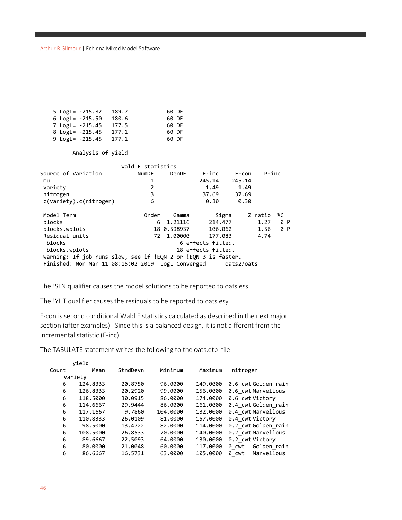| 5 LogL= -215.82                                               | 189.7 |                   | 60 DF       |                    |                 |          |     |
|---------------------------------------------------------------|-------|-------------------|-------------|--------------------|-----------------|----------|-----|
| 6 LogL= -215.50 180.6                                         |       |                   | 60 DF       |                    |                 |          |     |
| 7 LogL= -215.45 177.5                                         |       |                   | 60 DF       |                    |                 |          |     |
| 8 LogL= -215.45 177.1                                         |       |                   | 60 DF       |                    |                 |          |     |
|                                                               |       |                   |             |                    |                 |          |     |
| 9 LogL= -215.45 177.1                                         |       |                   | 60 DF       |                    |                 |          |     |
| Analysis of yield                                             |       |                   |             |                    |                 |          |     |
|                                                               |       | Wald F statistics |             |                    |                 |          |     |
| Source of Variation                                           |       | NumDF             | DenDF       |                    | F-inc F-con     | $P$ -inc |     |
| mu                                                            |       | 1                 |             |                    | 245.14 245.14   |          |     |
| variety                                                       |       | $\overline{2}$    |             | 1.49               | 1.49            |          |     |
| nitrogen                                                      |       | 3                 |             | 37.69              | 37.69           |          |     |
| c(variety).c(nitrogen)                                        |       | 6                 |             | 0.30               | 0.30            |          |     |
|                                                               |       |                   |             |                    |                 |          |     |
| Model Term                                                    |       | Order             | Gamma       |                    | Sigma - Z ratio |          | %C  |
| blocks                                                        |       | 6                 | 1.21116     |                    | 214.477         | 1.27     | 0 P |
| blocks.wplots                                                 |       |                   | 18 0.598937 |                    | 106.062         | 1.56     | 0 P |
| Residual units                                                |       | 72                | 1,00000     |                    | 177.083         | 4.74     |     |
| blocks                                                        |       |                   |             | 6 effects fitted.  |                 |          |     |
| blocks.wplots                                                 |       |                   |             | 18 effects fitted. |                 |          |     |
| Warning: If job runs slow, see if !EQN 2 or !EQN 3 is faster. |       |                   |             |                    |                 |          |     |
|                                                               |       |                   |             |                    |                 |          |     |
|                                                               |       |                   |             |                    |                 |          |     |

The !SLN qualifier causes the model solutions to be reported to oats.ess

The !YHT qualifier causes the residuals to be reported to oats.esy

F-con is second conditional Wald F statistics calculated as described in the next major section (after examples). Since this is a balanced design, it is not different from the incremental statistic (F-inc)

The TABULATE statement writes the following to the oats.etb file

|       | vield    |          |          |          |                      |
|-------|----------|----------|----------|----------|----------------------|
| Count | Mean     | StndDevn | Minimum  | Maximum  | nitrogen             |
|       | variety  |          |          |          |                      |
| 6     | 124.8333 | 20.8750  | 96,0000  | 149,0000 | 0.6 cwt Golden rain  |
| 6     | 126.8333 | 20.2920  | 99.0000  | 156,0000 | 0.6 cwt Marvellous   |
| 6     | 118,5000 | 30.0915  | 86,0000  | 174,0000 | 0.6 cwt Victory      |
| 6     | 114,6667 | 29.9444  | 86,0000  | 161,0000 | 0.4 cwt Golden rain  |
| 6     | 117.1667 | 9.7860   | 104,0000 | 132,0000 | 0.4 cwt Marvellous   |
| 6     | 110.8333 | 26.0109  | 81,0000  | 157.0000 | 0.4 cwt Victory      |
| 6     | 98.5000  | 13.4722  | 82.0000  | 114,0000 | 0.2 cwt Golden rain  |
| 6     | 108,5000 | 26.8533  | 70.0000  | 140.0000 | 0.2 cwt Marvellous   |
| 6     | 89.6667  | 22.5093  | 64.0000  | 130,0000 | 0.2 cwt Victory      |
| 6     | 80.0000  | 21.0048  | 60.0000  | 117,0000 | Golden rain<br>0 cwt |
| 6     | 86.6667  | 16.5731  | 63,0000  | 105,0000 | Marvellous<br>0 cwt  |
|       |          |          |          |          |                      |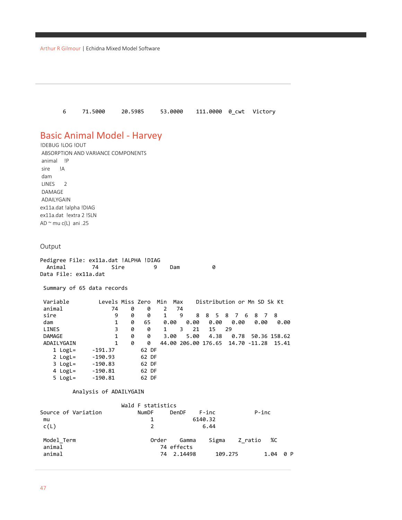6 71.5000 20.5985 53.0000 111.0000 0\_cwt Victory

## Basic Animal Model - Harvey

!DEBUG !LOG !OUT ABSORPTION AND VARIANCE COMPONENTS animal !P sire !A dam LINES 2 DAMAGE ADAILYGAIN ex11a.dat !alpha !DIAG ex11a.dat !extra 2 !SLN AD  $\sim$  mu c(L) ani .25

#### Output

| Pedigree File: ex11a.dat !ALPHA !DIAG |          |     |  |
|---------------------------------------|----------|-----|--|
|                                       | <b>q</b> | Dam |  |
| Data File: ex11a.dat                  |          |     |  |

Summary of 65 data records

| Variable      | Levels Miss Zero |   |       | Min  | Max |      |      |       | Distribution or Mn SD Sk Kt            |              |
|---------------|------------------|---|-------|------|-----|------|------|-------|----------------------------------------|--------------|
| animal        | 74               | 0 | 0     | 2    | 74  |      |      |       |                                        |              |
| sire          | 9                | 0 | 0     | 1    | 9   | 8    |      | 85876 | 87                                     | - 8          |
| dam           | 1                | 0 | 65    | 0.00 |     | 0.00 | 0.00 | 0.00  | 0.00                                   | 0.00         |
| LINES         | 3                | 0 | 0     | 1    | 3.  | 21   | 15   | - 29  |                                        |              |
| <b>DAMAGE</b> | 1                | 0 | 0     | 3.00 |     | 5.00 | 4.38 | 0.78  |                                        | 50.36 158.62 |
| ADAILYGAIN    | 1                | 0 | 0     |      |     |      |      |       | 44.00 206.00 176.65 14.70 -11.28 15.41 |              |
| $1$ LogL=     | $-191.37$        |   | 62 DF |      |     |      |      |       |                                        |              |
| 2 $LogL =$    | $-190.93$        |   | 62 DF |      |     |      |      |       |                                        |              |
| $3$ LogL=     | $-190.83$        |   | 62 DF |      |     |      |      |       |                                        |              |
| 4 $LogL =$    | $-190.81$        |   | 62 DF |      |     |      |      |       |                                        |              |
| $5$ LogL=     | $-190.81$        |   | 62 DF |      |     |      |      |       |                                        |              |

#### Analysis of ADAILYGAIN

|                     | Wald F statistics |            |           |         |       |     |
|---------------------|-------------------|------------|-----------|---------|-------|-----|
| Source of Variation | NumDF             | DenDF      | $F - inc$ |         | P-inc |     |
| mu                  | 1                 |            | 6140.32   |         |       |     |
| c(L)                | $\mathcal{P}$     |            | 6.44      |         |       |     |
| Model Term          | Order             | Gamma      | Sigma     | Z ratio | %C    |     |
| animal              |                   | 74 effects |           |         |       |     |
| animal              |                   | 74 2.14498 | 109.275   |         | 1.04  | 0 P |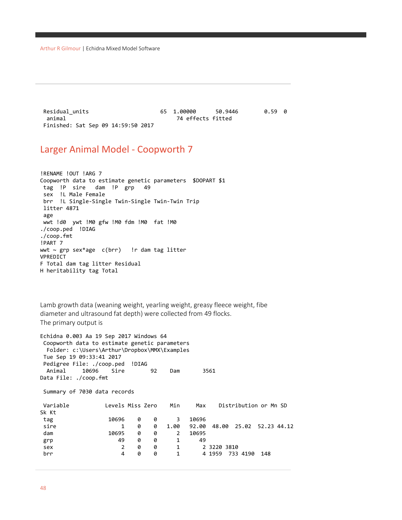Arthur R Gilmour | Echidna Mixed Model Software

Residual\_units 65 1.00000 50.9446 0.59 0 74 effects fitted Finished: Sat Sep 09 14:59:50 2017

### Larger Animal Model - Coopworth 7

!RENAME !OUT !ARG 7 Coopworth data to estimate genetic parameters \$DOPART \$1 tag !P sire dam !P grp 49 sex !L Male Female brr !L Single-Single Twin-Single Twin-Twin Trip litter 4871 age wwt !d0 ywt !M0 gfw !M0 fdm !M0 fat !M0 ./coop.ped !DIAG ./coop.fmt !PART 7 wwt ~ grp sex\*age c(brr) !r dam tag litter VPREDICT F Total dam tag litter Residual H heritability tag Total

Lamb growth data (weaning weight, yearling weight, greasy fleece weight, fibe diameter and ultrasound fat depth) were collected from 49 flocks. The primary output is

```
Echidna 0.003 Aa 19 Sep 2017 Windows 64 
Coopworth data to estimate genetic parameters 
  Folder: c:\Users\Arthur\Dropbox\MMX\Examples
Tue Sep 19 09:33:41 2017
Pedigree File: ./coop.ped !DIAG
  Animal 10696 Sire 92 Dam 3561
Data File: ./coop.fmt
Summary of 7030 data records
Variable Levels Miss Zero Min Max Distribution or Mn SD 
Sk Kt 
tag 10696 0 0 3 10696
sire 1 0 0 1.00 92.00 48.00 25.02 52.23 44.12
dam 10695 0 0 2 10695
grp 49 0 0 1 49
sex 2 0 0 1 2 3220 3810
brr 4 0 0 1 4 1959 733 4190 148
```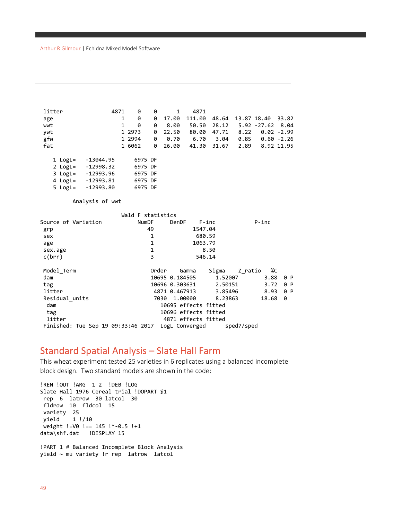| litter<br>age<br>wwt<br>ywt<br>gfw<br>fat                                    | 4871<br>$\mathbf{1}$<br>$\mathbf{1}$                                          | 0<br>0<br>0<br>1 2973<br>1 2994<br>1 6062           | 0<br>0<br>0<br>0<br>0<br>0             | $\mathbf{1}$<br>17.00<br>8.00<br>22.50<br>0.70<br>26.00               | 4871<br>111.00<br>50.50<br>80.00                                    | 48.64<br>28.12<br>47.71<br>6.70 3.04<br>41.30 31.67 | 8.22<br>0.85<br>2.89  | 13.87 18.40<br>$5.92 - 27.62$       | 33.82<br>8.04<br>$0.02 - 2.99$<br>$0.60 - 2.26$<br>8.92 11.95 |
|------------------------------------------------------------------------------|-------------------------------------------------------------------------------|-----------------------------------------------------|----------------------------------------|-----------------------------------------------------------------------|---------------------------------------------------------------------|-----------------------------------------------------|-----------------------|-------------------------------------|---------------------------------------------------------------|
| $1$ LogL=<br>$2$ LogL=<br>4 $LogL =$                                         | -13044.95<br>-12998.32<br>3 LogL= -12993.96<br>-12993.81<br>5 LogL= -12993.80 | 6975 DF<br>6975 DF<br>6975 DF<br>6975 DF<br>6975 DF |                                        |                                                                       |                                                                     |                                                     |                       |                                     |                                                               |
|                                                                              | Analysis of wwt                                                               |                                                     |                                        |                                                                       |                                                                     |                                                     |                       |                                     |                                                               |
| Source of Variation<br>grp<br>sex<br>age<br>sex.age<br>c(brr)                |                                                                               | Wald F statistics<br><b>NumDF</b><br>49             | 1<br>$\mathbf{1}$<br>$\mathbf{1}$<br>3 | DenDF                                                                 | $F$ -inc<br>1547.04<br>680.59<br>1063.79<br>8.50<br>546.14          |                                                     |                       | $P$ -inc                            |                                                               |
| Model Term<br>dam<br>tag<br>litter<br>Residual units<br>dam<br>tag<br>litter | Finished: Tue Sep 19 09:33:46 2017 LogL Converged                             |                                                     | Order<br>7030                          | Gamma<br>10695 0.184505<br>10696 0.303631<br>4871 0.467913<br>1,00000 | 10695 effects fitted<br>10696 effects fitted<br>4871 effects fitted | Sigma<br>1.52007<br>2.50151<br>3.85496<br>8.23863   | Z ratio<br>sped7/sped | %C<br>3.88<br>3.72<br>8.93<br>18.68 | 0 P<br>0 P<br>0 P<br>0                                        |

#### Standard Spatial Analysis – Slate Hall Farm

This wheat experiment tested 25 varieties in 6 replicates using a balanced incomplete block design. Two standard models are shown in the code:

```
!REN !OUT !ARG 1 2 !DEB !LOG
Slate Hall 1976 Cereal trial !DOPART $1
rep 6 latrow 30 latcol 30
fldrow 10 fldcol 15
variety 25<br>yield 1
         yield 1 !/10
weight !=V0 !== 145 !*-0.5 !+1
data\shf.dat !DISPLAY 15
!PART 1 # Balanced Incomplete Block Analysis
yield ~ mu variety !r rep latrow latcol
```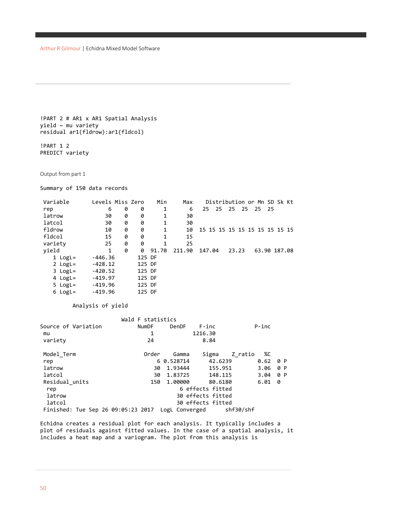```
!PART 2 # AR1 x AR1 Spatial Analysis
yield ~ mu variety
residual ar1(fldrow):ar1(fldcol)
```
!PART 1 2 PREDICT variety

Output from part 1

Summary of 150 data records

| Variable   | Levels Miss Zero |   |        | Min          | Max    | Distribution or Mn SD Sk Kt      |
|------------|------------------|---|--------|--------------|--------|----------------------------------|
| rep        | 6                | 0 | 0      | 1            | 6      | 25 25 25 25 25 25                |
| latrow     | 30               | 0 | 0      | 1            | 30     |                                  |
| latcol     | 30               | 0 | 0      | 1            | 30     |                                  |
| fldrow     | 10               | 0 | 0      | 1            | 10     | 15 15 15 15 15 15 15 15 15 15 15 |
| fldcol     | 15               | 0 | 0      | $\mathbf{1}$ | 15     |                                  |
| variety    | 25               | 0 | 0      | 1            | 25     |                                  |
| yield      | 1                | 0 | 0      | 91.70        | 211.90 | 147.04<br>23.23<br>63.90 187.08  |
| $1$ LogL=  | $-446.36$        |   | 125 DF |              |        |                                  |
| 2 $LogL =$ | $-428.12$        |   | 125 DF |              |        |                                  |
| $3$ LogL=  | $-420.52$        |   | 125 DF |              |        |                                  |
| 4 $LogL =$ | $-419.97$        |   | 125 DF |              |        |                                  |
| $5$ LogL=  | $-419.96$        |   | 125 DF |              |        |                                  |
| $6$ LogL=  | $-419.96$        |   | 125 DF |              |        |                                  |

Analysis of yield

|                                                   | Wald F statistics |            |                   |               |     |
|---------------------------------------------------|-------------------|------------|-------------------|---------------|-----|
| Source of Variation                               | <b>NumDF</b>      | DenDF      | F-inc             | $P$ -inc      |     |
| mu                                                | 1                 |            | 1216.30           |               |     |
| variety                                           | 24                |            | 8.84              |               |     |
| Model Term                                        | Order             | Gamma      | Sigma             | %C<br>Z ratio |     |
| rep                                               |                   | 6 0.528714 | 42.6239           | 0.62          | 0 P |
| latrow                                            | 30                | 1.93444    | 155.951           | 3.06          | 0 P |
| latcol                                            | 30                | 1.83725    | 148.115           | 3.04          | 0 P |
| Residual units                                    | 150               | 1,00000    | 80.6180           | 6.01          | 0   |
| rep                                               |                   |            | 6 effects fitted  |               |     |
| latrow                                            |                   |            | 30 effects fitted |               |     |
| latcol                                            |                   |            | 30 effects fitted |               |     |
| Finished: Tue Sep 26 09:05:23 2017 LogL Converged |                   |            |                   | shf30/shf     |     |

Echidna creates a residual plot for each analysis. It typically includes a plot of residuals against fitted values. In the case of a spatial analysis, it includes a heat map and a variogram. The plot from this analysis is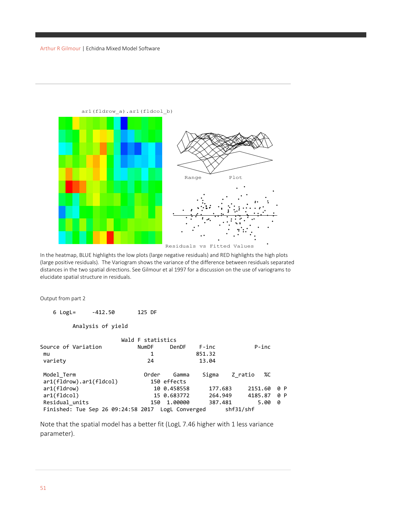

In the heatmap, BLUE highlights the low plots (large negative residuals) and RED highlights the high plots (large positive residuals). The Variogram shows the variance of the difference between residuals separated distances in the two spatial directions. See Gilmour et al 1997 for a discussion on the use of variograms to elucidate spatial structure in residuals.

Output from part 2

 6 LogL= -412.50 125 DF Analysis of yield Wald F statistics<br>NumDF Der Source of Variation MumDF DenDF F-inc P-inc<br>
mu 1 851.32 mu 1 851.32 variety 24 13.04 Model\_Term Order Gamma Sigma Z\_ratio %C ar1(fldrow).ar1(fldcol) 150 effects<br>ar1(fldrow) 10 0.458558 ar1(fldrow) 10 0.458558 177.683 2151.60 0 P<br>ar1(fldcol) 15 0.683772 264.949 4185.87 0 P 15 0.683772 264.949 4185.87 0<br>15 1.00000 387.481 5.00 0 Residual\_units 150 1.00000 387.481<br>Finished: Tue Sep 26 09:24:58 2017 LogL Converged shf31/shf Finished: Tue Sep 26  $09:24:58$  2017 LogL Converged

Note that the spatial model has a better fit (LogL 7.46 higher with 1 less variance parameter).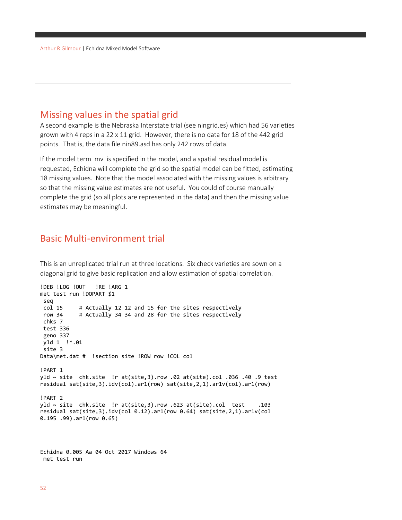#### Missing values in the spatial grid

A second example is the Nebraska Interstate trial (see ningrid.es) which had 56 varieties grown with 4 reps in a 22 x 11 grid. However, there is no data for 18 of the 442 grid points. That is, the data file nin89.asd has only 242 rows of data.

If the model term mv is specified in the model, and a spatial residual model is requested, Echidna will complete the grid so the spatial model can be fitted, estimating 18 missing values. Note that the model associated with the missing values is arbitrary so that the missing value estimates are not useful. You could of course manually complete the grid (so all plots are represented in the data) and then the missing value estimates may be meaningful.

### Basic Multi-environment trial

This is an unreplicated trial run at three locations. Six check varieties are sown on a diagonal grid to give basic replication and allow estimation of spatial correlation.

```
!DEB !LOG !OUT !RE !ARG 1
met test run !DOPART $1
 seq<br>col 15
            # Actually 12 12 and 15 for the sites respectively
 row 34 # Actually 34 34 and 28 for the sites respectively
 chks 7
 test 336
 geno 337
yld 1 !*.01
 site 3
Data\met.dat # !section site !ROW row !COL col
!PART 1
yld ~ site chk.site !r at(site,3).row .02 at(site).col .036 .40 .9 test
residual sat(site,3).idv(col).ar1(row) sat(site,2,1).ar1v(col).ar1(row)
!PART 2
yld \sim site chk.site !r at(site,3).row .623 at(site).col test .103
residual sat(site,3).idv(col 0.12).ar1(row 0.64) sat(site,2,1).ar1v(col 
0.195 .99).ar1(row 0.65)
```
Echidna 0.005 Aa 04 Oct 2017 Windows 64 met test run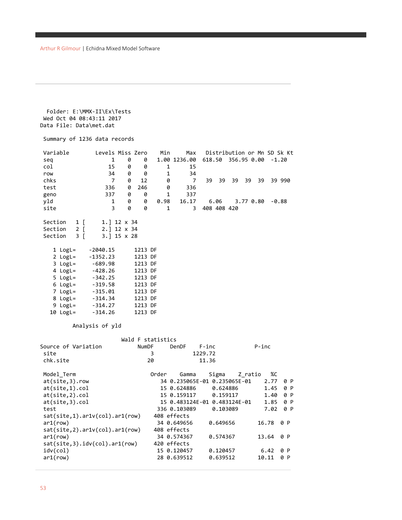```
 Folder: E:\MMX-II\Ex\Tests
Wed Oct 04 08:43:11 2017
Data File: Data\met.dat
```

```
Summary of 1236 data records
Variable Levels Miss Zero Min Max Distribution or Mn SD Sk Kt 
seq 1 0 0 1.00 1236.00 618.50 356.95 0.00 -1.20
col 15 0 0 1 15
row 34 0 0 1 34
chks 7 0 12 0 7 39 39 39 39 39 39 990
test 336 0 246 0 336
geno 337 0 0 1 337
yld 1 0 0 0.98 16.17 6.06 3.77 0.80 -0.88<br>site 3 0 0 1 3 408 408 420
site 3 0 0 1 3 408 408 420
Section 1 [ 1.] 12 x 34<br>Section 2 [ 2.] 12 x 34
Section 2 [ 2.] 12 x 34<br>Section 3 [ 3.] 15 x 28
             3.] 15 x 28
  1 LogL= -2040.15 1213 DF<br>2 LogL= -1352.23 1213 DF
           -1352.23 1213 DF<br>-689.98 1213 DF
  3 LogL=
   4 LogL= -428.26 1213 DF
   5 LogL= -342.25 1213 DF
   6 LogL= -319.58 1213 DF
   7 LogL= -315.01 1213 DF
   8 LogL= -314.34 1213 DF
   9 LogL= -314.27 1213 DF
   10 LogL= -314.26 1213 DF
        Analysis of yld 
                  Wald F statistics<br>NumDF DenDF
Source of Variation MumDF DenDF F-inc P-inc<br>site 3 1229.72
                        site 3 1229.72<br>20 11.36
chk.site
Model Term Camma Sigma Z ratio %C
at(site,3).row 34 0.235065E-01 0.235065E-01 2.77 0 P
at(site,1).col 15 0.624886 0.624886 1.45 0 P
at(site,2).col 15 0.159117 0.159117 1.40 0 P
at(site,3).col 15 0.483124E-01 0.483124E-01 1.85 0 P
test 336 0.103089 0.103089 7.02 0 P
sat(site,1).ar1v(col).ar1(row) 408 effects
ar1(row) 34 0.649656 0.649656 16.78 0 P
```
ar1(row) 34 0.574367 0.574367 13.64 0 P

idv(col) 15 0.120457 0.120457 6.42 0 P ar1(row) 28 0.639512 0.639512 10.11 0 P

sat(site,2).ar1v(col).ar1(row) 408 effects

sat(site,3).idv(col).ar1(row) 420 effects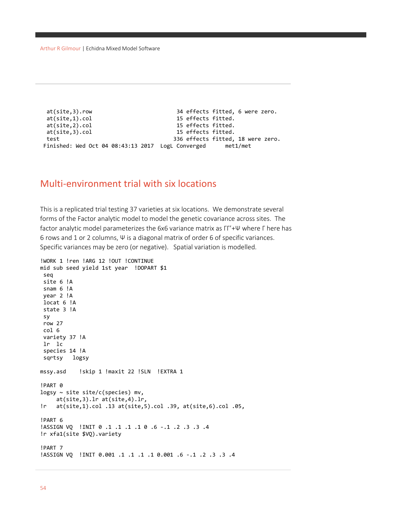Arthur R Gilmour | Echidna Mixed Model Software

at(site,3).row 34 effects fitted, 6 were zero.<br>at(site,1).col 34 effects fitted. 15 effects fitted. at(site,2).col 15 effects fitted. at(site,3).col 15 effects fitted. test 336 effects fitted, 18 were zero. Finished: Wed Oct 04 08:43:13 2017 LogL Converged met1/met

#### Multi-environment trial with six locations

This is a replicated trial testing 37 varieties at six locations. We demonstrate several forms of the Factor analytic model to model the genetic covariance across sites. The factor analytic model parameterizes the 6x6 variance matrix as ΓΓ'+Ψ where Γ here has 6 rows and 1 or 2 columns, Ψ is a diagonal matrix of order 6 of specific variances. Specific variances may be zero (or negative). Spatial variation is modelled.

```
!WORK 1 !ren !ARG 12 !OUT !CONTINUE
mid sub seed yield 1st year !DOPART $1
 seq
 site 6 !A
 snam 6 !A
 year 2 !A
 locat 6 !A
 state 3 !A
 sy
 row 27
 col 6
 variety 37 !A
 lr lc
 species 14 !A
 sqrtsy logsy
mssy.asd !skip 1 !maxit 22 !SLN !EXTRA 1 
!PART 0
logsy \sim site site/c(species) mv,
      at(site,3).lr at(site,4).lr,
!r at(site,1).col .13 at(site,5).col .39, at(site,6).col .05,
!PART 6
!ASSIGN VQ !INIT 0 .1 .1 .1 .1 0 .6 -.1 .2 .3 .3 .4
!r xfa1(site $VQ).variety
!PART 7
!ASSIGN VQ !INIT 0.001 .1 .1 .1 .1 0.001 .6 -.1 .2 .3 .3 .4
```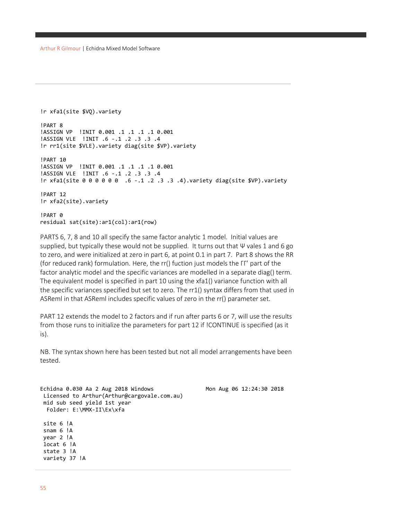```
!r xfa1(site $VQ).variety
!PART 8
!ASSIGN VP !INIT 0.001 .1 .1 .1 .1 0.001
!ASSIGN VLE !INIT .6 -.1 .2 .3 .3 .4
!r rr1(site $VLE).variety diag(site $VP).variety
!PART 10
!ASSIGN VP !INIT 0.001 .1 .1 .1 .1 0.001
!ASSIGN VLE !INIT .6 -.1 .2 .3 .3 .4
!r xfa1(site 0 0 0 0 0 0 .6 -.1 .2 .3 .3 .4).variety diag(site $VP).variety
!PART 12
!r xfa2(site).variety
!PART 0
residual sat(site):ar1(col):ar1(row)
```
PARTS 6, 7, 8 and 10 all specify the same factor analytic 1 model. Initial values are supplied, but typically these would not be supplied. It turns out that Ψ vales 1 and 6 go to zero, and were initialized at zero in part 6, at point 0.1 in part 7. Part 8 shows the RR (for reduced rank) formulation. Here, the rr() fuction just models the ΓΓ' part of the factor analytic model and the specific variances are modelled in a separate diag() term. The equivalent model is specified in part 10 using the xfa1() variance function with all the specific variances specified but set to zero. The rr1() syntax differs from that used in ASReml in that ASReml includes specific values of zero in the rr() parameter set.

PART 12 extends the model to 2 factors and if run after parts 6 or 7, will use the results from those runs to initialize the parameters for part 12 if !CONTINUE is specified (as it is).

NB. The syntax shown here has been tested but not all model arrangements have been tested.

```
Echidna 0.030 Aa 2 Aug 2018 Windows Mon Aug 06 12:24:30 2018
Licensed to Arthur(Arthur@cargovale.com.au)
mid sub seed yield 1st year
  Folder: E:\MMX-II\Ex\xfa
site 6 !A
snam 6 !A
year 2 !A
locat 6 !A
state 3 !A
variety 37 !A
```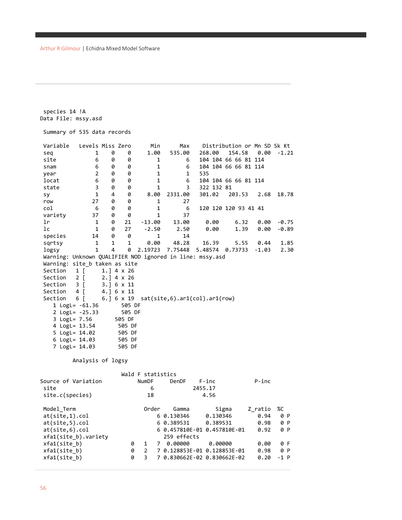```
species 14 !A
Data File: mssy.asd
Summary of 535 data records
Variable Levels Miss Zero Min Max Distribution or Mn SD Sk Kt 
seq 1 0 0 1.00 535.00 268.00 154.58 0.00 -1.21<br>site 6 0 0 1 6 104 104 66 66 81 114
site 6 0 0 1 6 104 104 66 66 81 114
snam 6 0 0 1 6 104 104 66 66 81 114
year 2 0 0 1 1 535
locat 6 0 0 1 6 104 104 66 66 81 114
state 3 0 0 1 3 322 132 81
sy 1 4 0 8.00 2331.00 301.02 203.53 2.68 18.78
row 27 0 0 1 27
col 6 0 0 1 6 120 120 120 93 41 41
variety 37 0 0 1 37<br>1 0 21 -13.00 13.00
lr 1 0 21 -13.00 13.00 0.00 6.32 0.00 -0.75
lc 1 0 27 -2.50 2.50 0.00 1.39 0.00 -0.89
species 14 0 0 1 14<br>sartsy 1 1 1 0.00 48.28
sqrtsy 1 1 1 0.00 48.28 16.39 5.55 0.44 1.85
logsy 1 4 0 2.19723 7.75448 5.48574 0.73733 -1.03 2.30
Warning: Unknown QUALIFIER NOD ignored in line: mssy.asd
Warning: site_b taken as site
Section 1 [ 1.] 4 x 26
Section 2 [ 2.] 4 x 26
Section 3 [ 3.] 6 x 11
Section 4 [ 4.] 6 x 11
Section 6 [ 6.] 6 x 19 sat(site,6).ar1(col).ar1(row)
   1 LogL= -61.36 505 DF
   2 LogL= -25.33 505 DF
  3 LogL= 7.56 505 DF<br>4 LogL= 13.54 505 DF
  4 LogL= 13.54
   5 LogL= 14.02 505 DF
   6 LogL= 14.03 505 DF
  7 LogL= 14.03
        Analysis of logsy 
                   Wald F statistics
Source of Variation NumDF DenDF F-inc P-inc 
site 6 2455.17
site.c(species) 18 4.56
Model_Term Order Gamma Sigma Z_ratio %C
at(site,1).col 6 0.130346 0.130346 0.94 0 P
at(site,5).col 6 0.389531 0.389531 0.98 0 P
at(site,6).col 6 0.457810E-01 0.457810E-01 0.92 0 P
xfa1(site_b).variety        259 effects<br>xfa1(site_b)        0  1  7  0.00000<br>xfa1(site b)         0  2   7 0.128853E-03
xfa1(site_b) 0 1 7 0.00000 0.00000 0.00 0 F
xfa1(site_b) 0 2 7 0.128853E-01 0.128853E-01 0.98 0 P
xfa1(site_b) 0 3 7 0.830662E-02 0.830662E-02 0.20 -1 P
```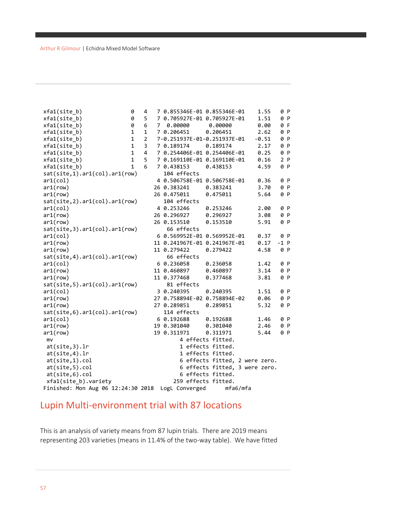| xfa1(site b)                       | 0            | 4              | 7 0.855346E-01 0.855346E-01  |                                | 1.55    | 0 P    |  |
|------------------------------------|--------------|----------------|------------------------------|--------------------------------|---------|--------|--|
| xfa1(site b)                       | 0            | 5              | 7 0.705927E-01 0.705927E-01  |                                | 1.51    | 0 P    |  |
| xfa1(site b)                       | 0            | 6              | 7 0.00000                    | 0.00000                        | 0.00    | 0 F    |  |
| xfa1(site b)                       | $\mathbf{1}$ | $\mathbf{1}$   | 7 0.206451                   | 0.206451                       | 2.62    | 0 P    |  |
| xfa1(site b)                       | $\mathbf{1}$ | $\overline{2}$ | 7-0.251937E-01-0.251937E-01  |                                | $-0.51$ | 0 P    |  |
| xfa1(site b)                       | $\mathbf{1}$ | 3              | 7 0.189174                   | 0.189174                       | 2.17    | 0 P    |  |
| xfa1(site b)                       | $\mathbf{1}$ | 4              | 7 0.254406E-01 0.254406E-01  |                                | 0.25    | 0 P    |  |
| xfa1(site b)                       | $\mathbf{1}$ | 5              | 7 0.169110E-01 0.169110E-01  |                                | 0.16    | 2P     |  |
| xfa1(site b)                       | $\mathbf{1}$ | 6              | 7 0.438153                   | 0.438153                       | 4.59    | 0 P    |  |
| sat(site,1).ar1(col).ar1(row)      |              |                | 104 effects                  |                                |         |        |  |
| ar1(col)                           |              |                | 4 0.506758E-01 0.506758E-01  |                                | 0.36    | 0 P    |  |
| ar1(row)                           |              |                | 26 0.383241                  | 0.383241                       | 3.70    | 0 P    |  |
| ar1(row)                           |              |                | 26 0.475011                  | 0.475011                       | 5.64    | 0 P    |  |
| sat(site, 2).ar1(col).ar1(row)     |              |                | 104 effects                  |                                |         |        |  |
| ar1(col)                           |              |                | 4 0.253246                   | 0.253246                       | 2.00    | 0 P    |  |
| ar1(row)                           |              |                | 26 0.296927                  | 0.296927                       | 3.08    | 0 P    |  |
| ar1(row)                           |              |                | 26 0.153510                  | 0.153510                       | 5.91    | 0 P    |  |
| sat(site,3).ar1(col).ar1(row)      |              |                | 66 effects                   |                                |         |        |  |
| ar1(col)                           |              |                |                              | 6 0.569952E-01 0.569952E-01    | 0.37    | 0 P    |  |
| ar1(row)                           |              |                | 11 0.241967E-01 0.241967E-01 |                                | 0.17    | $-1$ P |  |
| ar1(row)                           |              |                | 11 0.279422                  | 0.279422                       | 4.58    | 0 P    |  |
| sat(site,4).ar1(col).ar1(row)      |              |                | 66 effects                   |                                |         |        |  |
| ar1(col)                           |              |                | 6 0.236058                   | 0.236058                       | 1.42    | 0 P    |  |
| ar1(row)                           |              |                | 11 0.460897                  | 0.460897                       | 3.14    | 0 P    |  |
| ar1(row)                           |              |                | 11 0.377468                  | 0.377468                       | 3.81    | 0 P    |  |
| sat(site,5).ar1(col).ar1(row)      |              |                | 81 effects                   |                                |         |        |  |
| ar1(col)                           |              |                | 3 0.240395                   | 0.240395                       | 1.51    | 0 P    |  |
| ar1(row)                           |              |                | 27 0.758894E-02 0.758894E-02 |                                | 0.06    | 0 P    |  |
| ar1(row)                           |              |                | 27 0.289851                  | 0.289851                       | 5.32    | 0 P    |  |
| sat(site, 6).ar1(col).ar1(row)     |              |                | 114 effects                  |                                |         |        |  |
| ar1(col)                           |              |                | 6 0.192688                   | 0.192688                       | 1.46    | 0 P    |  |
| ar1(row)                           |              |                | 19 0.301040                  | 0.301040                       | 2.46    | 0 P    |  |
| ar1(row)                           |              |                | 19 0.311971                  | 0.311971                       | 5.44    | 0 P    |  |
| mv                                 |              |                |                              | 4 effects fitted.              |         |        |  |
| at(site,3).lr                      |              |                |                              | 1 effects fitted.              |         |        |  |
| at(site,4).lr                      |              |                |                              | 1 effects fitted.              |         |        |  |
| at(site,1).col                     |              |                |                              | 6 effects fitted, 2 were zero. |         |        |  |
| at(site,5).col                     |              |                |                              | 6 effects fitted, 3 were zero. |         |        |  |
| at(site,6).col                     |              |                |                              | 6 effects fitted.              |         |        |  |
| xfa1(site_b).variety               |              |                | 259 effects fitted.          |                                |         |        |  |
| Finished: Mon Aug 06 12:24:30 2018 |              |                | LogL Converged               | mfa6/mfa                       |         |        |  |

## Lupin Multi-environment trial with 87 locations

This is an analysis of variety means from 87 lupin trials. There are 2019 means representing 203 varieties (means in 11.4% of the two-way table). We have fitted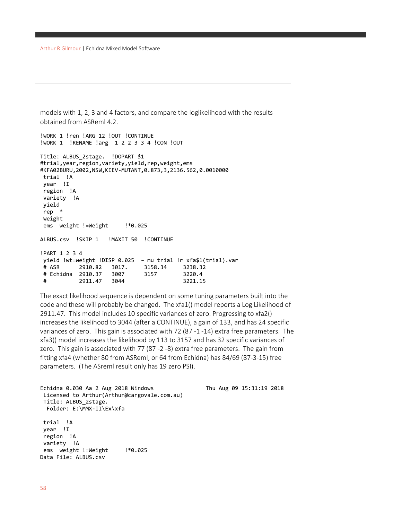```
models with 1, 2, 3 and 4 factors, and compare the loglikelihood with the results 
obtained from ASReml 4.2.
```

```
!WORK 1 !ren !ARG 12 !OUT !CONTINUE
!WORK 1 !RENAME !arg 1 2 2 3 3 4 !CON !OUT
Title: ALBUS_2stage. !DOPART $1
#trial,year,region,variety,yield,rep,weight,ems
#KFA02BURU,2002,NSW,KIEV-MUTANT,0.873,3,2136.562,0.0010000
trial !A
year !I
region !A
variety !A
yield
rep *
Weight
ems weight !=Weight :*0.025
ALBUS.csv !SKIP 1 !MAXIT 50 !CONTINUE 
!PART 1 2 3 4
yield !wt=weight !DISP 0.025 ~ mu trial !r xfa$1(trial).var
# ASR 2910.82 3017. 3158.34 3238.32
# Echidna 2910.37 3007 3157 3220.4
# 2911.47 3044 3221.15
```
The exact likelihood sequence is dependent on some tuning parameters built into the code and these will probably be changed. The xfa1() model reports a Log Likelihood of 2911.47. This model includes 10 specific variances of zero. Progressing to xfa2() increases the likelihood to 3044 (after a CONTINUE), a gain of 133, and has 24 specific variances of zero. This gain is associated with 72 (87 -1 -14) extra free parameters. The xfa3() model increases the likelihood by 113 to 3157 and has 32 specific variances of zero. This gain is associated with 77 (87 -2 -8) extra free parameters. The gain from fitting xfa4 (whether 80 from ASReml, or 64 from Echidna) has 84/69 (87-3-15) free parameters. (The ASreml result only has 19 zero PSI).

```
Echidna 0.030 Aa 2 Aug 2018 Windows Thu Aug 09 15:31:21:21:21:21:21:21:21:21:21:2
 Licensed to Arthur(Arthur@cargovale.com.au)
 Title: ALBUS_2stage.
   Folder: E:\MMX-II\Ex\xfa
 trial !A
 year !I
 region !A
 variety !A
 ems weight !=Weight :*0.025
Data File: ALBUS.csv
```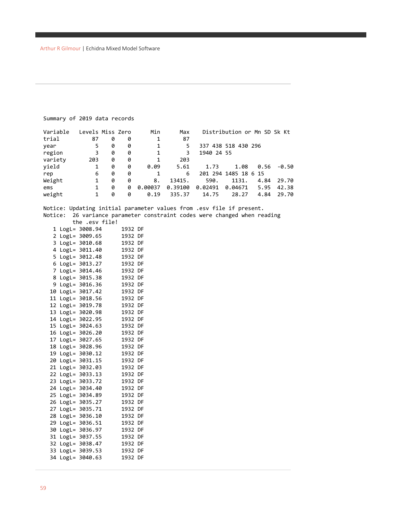#### Summary of 2019 data records

| Variable | Levels Miss Zero |   |   | Min     | Max     |            | Distribution or Mn SD Sk Kt |      |       |
|----------|------------------|---|---|---------|---------|------------|-----------------------------|------|-------|
| trial    | 87               | 0 | 0 | 1       | 87      |            |                             |      |       |
| year     | 5.               | 0 | 0 | 1       | 5.      |            | 337 438 518 430 296         |      |       |
| region   | 3                | 0 | 0 | 1       | 3       | 1940 24 55 |                             |      |       |
| variety  | 203              | 0 | 0 | 1       | 203     |            |                             |      |       |
| yield    |                  | 0 | 0 | 0.09    | 5.61    | 1.73       | 1.08                        | 0.56 | -0.50 |
| rep      | 6                | 0 | 0 |         | 6       |            | 201 294 1485 18 6 15        |      |       |
| Weight   | 1                | 0 | 0 | 8.      | 13415.  | 590.       | 1131.                       | 4.84 | 29.70 |
| ems      |                  | 0 | 0 | 0.00037 | 0.39100 | 0.02491    | 0.04671                     | 5.95 | 42.38 |
| weight   |                  | 0 | 0 | 0.19    | 335.37  | 14.75      | 28.27                       | 4.84 | 29.70 |

Notice: Updating initial parameter values from .esv file if present. Notice: 26 variance parameter constraint codes were changed when reading the .esv file!

|  | 1932                                                                                                                                                                                                                                                                                                                                                                                                                                                                                                                                                                                                    | DF                                                                                                                                                                                                                                                                   |
|--|---------------------------------------------------------------------------------------------------------------------------------------------------------------------------------------------------------------------------------------------------------------------------------------------------------------------------------------------------------------------------------------------------------------------------------------------------------------------------------------------------------------------------------------------------------------------------------------------------------|----------------------------------------------------------------------------------------------------------------------------------------------------------------------------------------------------------------------------------------------------------------------|
|  |                                                                                                                                                                                                                                                                                                                                                                                                                                                                                                                                                                                                         | DF                                                                                                                                                                                                                                                                   |
|  |                                                                                                                                                                                                                                                                                                                                                                                                                                                                                                                                                                                                         | DF                                                                                                                                                                                                                                                                   |
|  |                                                                                                                                                                                                                                                                                                                                                                                                                                                                                                                                                                                                         | DF                                                                                                                                                                                                                                                                   |
|  |                                                                                                                                                                                                                                                                                                                                                                                                                                                                                                                                                                                                         | DF                                                                                                                                                                                                                                                                   |
|  |                                                                                                                                                                                                                                                                                                                                                                                                                                                                                                                                                                                                         | DF                                                                                                                                                                                                                                                                   |
|  |                                                                                                                                                                                                                                                                                                                                                                                                                                                                                                                                                                                                         | DF                                                                                                                                                                                                                                                                   |
|  |                                                                                                                                                                                                                                                                                                                                                                                                                                                                                                                                                                                                         | DF                                                                                                                                                                                                                                                                   |
|  |                                                                                                                                                                                                                                                                                                                                                                                                                                                                                                                                                                                                         | DF                                                                                                                                                                                                                                                                   |
|  |                                                                                                                                                                                                                                                                                                                                                                                                                                                                                                                                                                                                         | DF                                                                                                                                                                                                                                                                   |
|  |                                                                                                                                                                                                                                                                                                                                                                                                                                                                                                                                                                                                         | DF                                                                                                                                                                                                                                                                   |
|  |                                                                                                                                                                                                                                                                                                                                                                                                                                                                                                                                                                                                         | DF                                                                                                                                                                                                                                                                   |
|  |                                                                                                                                                                                                                                                                                                                                                                                                                                                                                                                                                                                                         | DF                                                                                                                                                                                                                                                                   |
|  |                                                                                                                                                                                                                                                                                                                                                                                                                                                                                                                                                                                                         | DF                                                                                                                                                                                                                                                                   |
|  |                                                                                                                                                                                                                                                                                                                                                                                                                                                                                                                                                                                                         | DF                                                                                                                                                                                                                                                                   |
|  |                                                                                                                                                                                                                                                                                                                                                                                                                                                                                                                                                                                                         | DF                                                                                                                                                                                                                                                                   |
|  |                                                                                                                                                                                                                                                                                                                                                                                                                                                                                                                                                                                                         | DF                                                                                                                                                                                                                                                                   |
|  |                                                                                                                                                                                                                                                                                                                                                                                                                                                                                                                                                                                                         | DF                                                                                                                                                                                                                                                                   |
|  |                                                                                                                                                                                                                                                                                                                                                                                                                                                                                                                                                                                                         | DF                                                                                                                                                                                                                                                                   |
|  |                                                                                                                                                                                                                                                                                                                                                                                                                                                                                                                                                                                                         | DF                                                                                                                                                                                                                                                                   |
|  |                                                                                                                                                                                                                                                                                                                                                                                                                                                                                                                                                                                                         | DF                                                                                                                                                                                                                                                                   |
|  |                                                                                                                                                                                                                                                                                                                                                                                                                                                                                                                                                                                                         | DF                                                                                                                                                                                                                                                                   |
|  |                                                                                                                                                                                                                                                                                                                                                                                                                                                                                                                                                                                                         | DF                                                                                                                                                                                                                                                                   |
|  |                                                                                                                                                                                                                                                                                                                                                                                                                                                                                                                                                                                                         | DF                                                                                                                                                                                                                                                                   |
|  |                                                                                                                                                                                                                                                                                                                                                                                                                                                                                                                                                                                                         | DF                                                                                                                                                                                                                                                                   |
|  |                                                                                                                                                                                                                                                                                                                                                                                                                                                                                                                                                                                                         | DF                                                                                                                                                                                                                                                                   |
|  |                                                                                                                                                                                                                                                                                                                                                                                                                                                                                                                                                                                                         | DF                                                                                                                                                                                                                                                                   |
|  |                                                                                                                                                                                                                                                                                                                                                                                                                                                                                                                                                                                                         | DF                                                                                                                                                                                                                                                                   |
|  |                                                                                                                                                                                                                                                                                                                                                                                                                                                                                                                                                                                                         | DF                                                                                                                                                                                                                                                                   |
|  |                                                                                                                                                                                                                                                                                                                                                                                                                                                                                                                                                                                                         | DF                                                                                                                                                                                                                                                                   |
|  |                                                                                                                                                                                                                                                                                                                                                                                                                                                                                                                                                                                                         | DF                                                                                                                                                                                                                                                                   |
|  |                                                                                                                                                                                                                                                                                                                                                                                                                                                                                                                                                                                                         | DF                                                                                                                                                                                                                                                                   |
|  |                                                                                                                                                                                                                                                                                                                                                                                                                                                                                                                                                                                                         | DF                                                                                                                                                                                                                                                                   |
|  |                                                                                                                                                                                                                                                                                                                                                                                                                                                                                                                                                                                                         | DF                                                                                                                                                                                                                                                                   |
|  | $LogL = 3008.94$<br>LogL= 3009.65<br>LogL= 3010.68<br>LogL= 3011.40<br>LogL= 3012.48<br>$LogL = 3013.27$<br>LogL= 3014.46<br>LogL= 3015.38<br>LogL= 3016.36<br>LogL= 3017.42<br>LogL= 3018.56<br>LogL= 3019.78<br>LogL= 3020.98<br>LogL= 3022.95<br>$LogL = 3024.63$<br>LogL= 3026.20<br>LogL= 3027.65<br>LogL= 3028.96<br>LogL= 3030.12<br>LogL= 3031.15<br>LogL= 3032.03<br>LogL= 3033.13<br>LogL= 3033.72<br>LogL= 3034.40<br>LogL= 3034.89<br>LogL= 3035.27<br>LogL= 3035.71<br>LogL= 3036.10<br>LogL= 3036.51<br>LogL= 3036.97<br>LogL= 3037.55<br>LogL= 3038.47<br>LogL= 3039.53<br>LogL= 3040.63 | 1932<br>1932<br>1932<br>1932<br>1932<br>1932<br>1932<br>1932<br>1932<br>1932<br>1932<br>1932<br>1932<br>1932<br>1932<br>1932<br>1932<br>1932<br>1932<br>1932<br>1932<br>1932<br>1932<br>1932<br>1932<br>1932<br>1932<br>1932<br>1932<br>1932<br>1932<br>1932<br>1932 |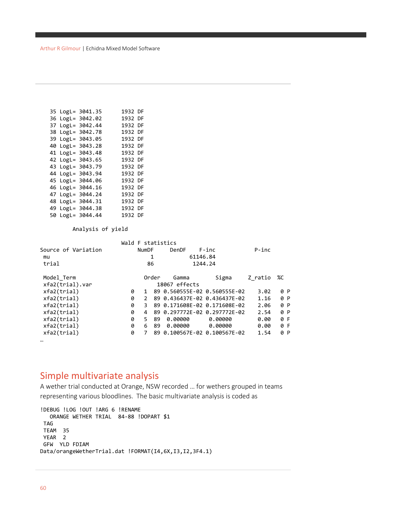|  | 35 LogL= 3041.35 | 1932 DF |  |
|--|------------------|---------|--|
|  | 36 LogL= 3042.02 | 1932 DF |  |
|  | 37 LogL= 3042.44 | 1932 DF |  |
|  | 38 LogL= 3042.78 | 1932 DF |  |
|  | 39 LogL= 3043.05 | 1932 DF |  |
|  | 40 LogL= 3043.28 | 1932 DF |  |
|  | 41 LogL= 3043.48 | 1932 DF |  |
|  | 42 LogL= 3043.65 | 1932 DF |  |
|  | 43 LogL= 3043.79 | 1932 DF |  |
|  | 44 LogL= 3043.94 | 1932 DF |  |
|  | 45 LogL= 3044.06 | 1932 DF |  |
|  | 46 LogL= 3044.16 | 1932 DF |  |
|  | 47 LogL= 3044.24 | 1932 DF |  |
|  | 48 LogL= 3044.31 | 1932 DF |  |
|  | 49 LogL= 3044.38 | 1932 DF |  |
|  | 50 LogL= 3044.44 | 1932 DF |  |

Analysis of yield

|   |               |    | DenDF                            | $F$ -inc          |                                      | $P$ -inc                                                                                                                                                     |         |
|---|---------------|----|----------------------------------|-------------------|--------------------------------------|--------------------------------------------------------------------------------------------------------------------------------------------------------------|---------|
|   |               |    |                                  |                   |                                      |                                                                                                                                                              |         |
|   |               |    |                                  |                   |                                      |                                                                                                                                                              |         |
|   |               |    | Gamma                            | Sigma             |                                      |                                                                                                                                                              | %C      |
|   |               |    |                                  |                   |                                      |                                                                                                                                                              |         |
| 0 | 1.            |    |                                  |                   |                                      | 3.02                                                                                                                                                         | 0 P     |
| 0 | $\mathcal{P}$ |    |                                  |                   |                                      | 1.16                                                                                                                                                         | 0 P     |
| 0 | 3             |    |                                  |                   |                                      | 2.06                                                                                                                                                         | 0 P     |
| 0 | 4             |    |                                  |                   |                                      | 2.54                                                                                                                                                         | 0 P     |
| 0 | 5.            | 89 | 0.00000                          | 0.00000           |                                      | 0.00                                                                                                                                                         | 0 F     |
| 0 | 6             | 89 | 0.00000                          | 0.00000           |                                      | 0.00                                                                                                                                                         | 0 F     |
| 0 | 7             |    |                                  |                   |                                      | 1.54                                                                                                                                                         | 0 P     |
|   |               |    | <b>NumDF</b><br>1<br>86<br>Order | Wald F statistics | 61146.84<br>1244.24<br>18067 effects | 89 0.560555E-02 0.560555E-02<br>89 0.436437E-02 0.436437E-02<br>89 0.171608E-02 0.171608E-02<br>89 0.297772E-02 0.297772E-02<br>89 0.100567E-02 0.100567E-02 | Z ratio |

### Simple multivariate analysis

A wether trial conducted at Orange, NSW recorded … for wethers grouped in teams representing various bloodlines. The basic multivariate analysis is coded as

!DEBUG !LOG !OUT !ARG 6 !RENAME ORANGE WETHER TRIAL 84-88 !DOPART \$1 TAG TEAM 35 YEAR 2 GFW YLD FDIAM Data/orangeWetherTrial.dat !FORMAT(I4,6X,I3,I2,3F4.1)

…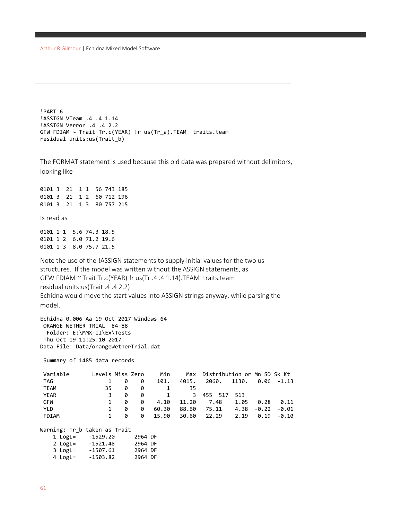```
!PART 6
!ASSIGN VTeam .4 .4 1.14
!ASSIGN Verror .4 .4 2.2
GFW FDIAM ~ Trait Tr.c(YEAR) !r us(Tr_a).TEAM traits.team
residual units:us(Trait_b)
```
The FORMAT statement is used because this old data was prepared without delimitors, looking like

0101 3 21 1 1 56 743 185 0101 3 21 1 2 60 712 196 0101 3 21 1 3 80 757 215 Is read as 0101 1 1 5.6 74.3 18.5 0101 1 2 6.0 71.2 19.6 0101 1 3 8.0 75.7 21.5 Note the use of the !ASSIGN statements to supply initial values for the two us

structures. If the model was written without the ASSIGN statements, as GFW FDIAM ~ Trait Tr.c(YEAR) !r us(Tr .4 .4 1.14).TEAM traits.team residual units:us(Trait .4 .4 2.2) Echidna would move the start values into ASSIGN strings anyway, while parsing the

model.

Echidna 0.006 Aa 19 Oct 2017 Windows 64 ORANGE WETHER TRIAL 84-88 Folder: E:\MMX-II\Ex\Tests Thu Oct 19 11:25:10 2017 Data File: Data/orangeWetherTrial.dat

4 LogL= -1503.82 2964 DF

Summary of 1485 data records

| Variable                     | Levels Miss Zero |   |         | Min   | Max   | Distribution or Mn SD Sk Kt |       |         |               |
|------------------------------|------------------|---|---------|-------|-------|-----------------------------|-------|---------|---------------|
| TAG                          | 1                | 0 | 0       | 101.  | 4015. | 2060.                       | 1130. |         | $0.06 - 1.13$ |
| <b>TEAM</b>                  | 35               | 0 | 0       | 1     | 35    |                             |       |         |               |
| <b>YEAR</b>                  | 3                | 0 | 0       | 1     | 3     | 455 517                     | 513   |         |               |
| GFW                          | 1                | 0 | 0       | 4.10  | 11.20 | 7.48                        | 1.05  | 0.28    | 0.11          |
| YLD.                         | 1                | 0 | 0       | 60.30 | 88.60 | 75.11                       | 4.38  | $-0.22$ | $-0.01$       |
| FDIAM                        | 1                | 0 | 0       | 15.90 | 30.60 | 22.29                       | 2.19  | 0.19    | $-0.10$       |
| Warning: Tr b taken as Trait |                  |   |         |       |       |                             |       |         |               |
| $1$ LogL=                    | -1529.20         |   | 2964 DF |       |       |                             |       |         |               |
| 2 LogL= -1521.48             |                  |   | 2964 DF |       |       |                             |       |         |               |
| 3 LogL= -1507.61             |                  |   | 2964 DF |       |       |                             |       |         |               |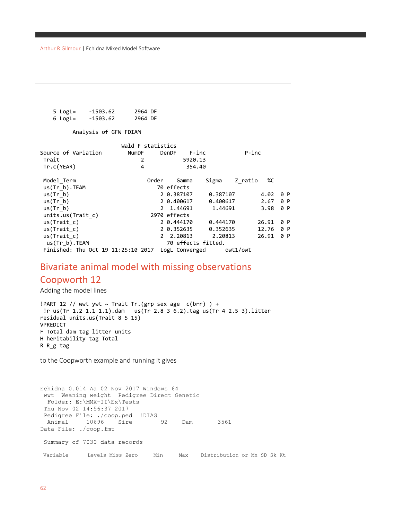```
 5 LogL= -1503.62 2964 DF
6 LogL=
```
Analysis of GFW FDIAM

|                                    |       | Wald F statistics |                    |          |          |          |       |     |
|------------------------------------|-------|-------------------|--------------------|----------|----------|----------|-------|-----|
| Source of Variation                | NumDF |                   | DenDF              | $F$ -inc |          | $P$ -inc |       |     |
| Trait                              |       | $\overline{2}$    |                    | 5920.13  |          |          |       |     |
| Tr.c(YEAR)                         |       | 4                 |                    | 354.40   |          |          |       |     |
| Model Term                         |       | Order             | Gamma              |          | Sigma    | Z ratio  | %C    |     |
| $us(Tr b)$ . TEAM                  |       |                   | 70 effects         |          |          |          |       |     |
| us(Tr b)                           |       |                   | 2 0.387107         |          | 0.387107 |          | 4.02  | 0 P |
| us(Tr b)                           |       |                   | 2 0.400617         |          | 0.400617 |          | 2.67  | 0 P |
| us(Tr b)                           |       |                   | 2 1.44691          |          | 1.44691  |          | 3.98  | 0 P |
| units.us(Trait c)                  |       |                   | 2970 effects       |          |          |          |       |     |
| us(Trait c)                        |       |                   | 2 0.444170         |          | 0.444170 |          | 26.91 | 0 P |
| us(Trait c)                        |       |                   | 2 0.352635         |          | 0.352635 |          | 12.76 | 0 P |
| us(Trait c)                        |       |                   | 2 2.20813          |          | 2.20813  |          | 26.91 | 0 P |
| $us(Tr b)$ .TEAM                   |       |                   | 70 effects fitted. |          |          |          |       |     |
| Finished: Thu Oct 19 11:25:10 2017 |       |                   | LogL Converged     |          |          | owt1/owt |       |     |

#### Bivariate animal model with missing observations

#### Coopworth 12

Adding the model lines

!PART 12 // wwt ywt ~ Trait Tr.(grp sex age  $c(brr)$  ) + !r us(Tr 1.2 1.1 1.1).dam us(Tr 2.8 3 6.2).tag us(Tr 4 2.5 3).litter residual units.us(Trait 8 5 15) VPREDICT F Total dam tag litter units H heritability tag Total R R\_g tag

to the Coopworth example and running it gives

```
Echidna 0.014 Aa 02 Nov 2017 Windows 64
wwt Weaning weight Pedigree Direct Genetic
  Folder: E:\MMX-II\Ex\Tests
 Thu Nov 02 14:56:37 2017
Pedigree File: ./coop.ped !DIAG<br>Animal 10696 Sire 92
 Animal 10696 Sire 92 Dam 3561
Data File: ./coop.fmt
 Summary of 7030 data records
Variable Levels Miss Zero Min Max Distribution or Mn SD Sk Kt
```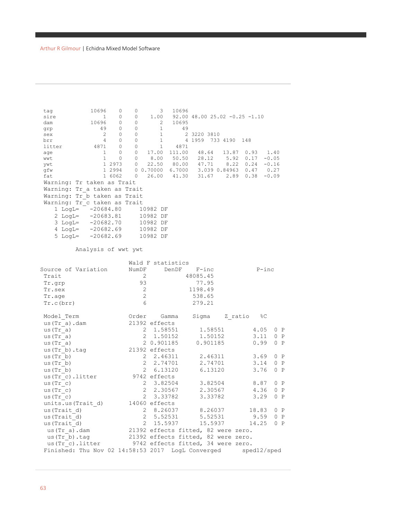| tag<br>sire<br>dam<br>grp<br>sex<br>brr<br>litter<br>age<br>wwt<br>ywt<br>gfw<br>fat<br>$2$ LogL= | 10696<br>0<br>0<br>1<br>10696<br>0<br>49<br>0<br>2<br>0<br>4<br>0<br>4871<br>0<br>$\mathbf{1}$<br>0<br>$\mathbf{1}$<br>$\circ$<br>1 2973<br>1 2994<br>1 6062<br>Warning: Tr taken as Trait<br>Warning: Tr a taken as Trait<br>Warning: Tr b taken as Trait<br>Warning: Tr c taken as Trait<br>$1$ LogL= $-20684.80$<br>$-20683.81$<br>$3$ LogL= $-20682.70$<br>$4$ LogL= $-20682.69$<br>$5$ LogL= $-20682.69$ | 0<br>0<br>0<br>0<br>$\circ$<br>$\circ$<br>$\circ$<br>$\circ$<br>$\circ$<br>$\overline{0}$<br>$\overline{0}$ | 3<br>1.00<br>2<br>$\mathbf{1}$<br>$\mathbf{1}$<br>$\mathbf{1}$<br>$\mathbf{1}$<br>17.00<br>8.00<br>22.50<br>0 0.70000 6.7000 3.039 0.84963<br>26.00<br>10982 DF<br>10982 DF<br>10982 DF<br>10982 DF<br>10982 DF | 10696<br>10695<br>49<br>4871<br>111.00<br>50.50 | $92.00$ 48.00 25.02 -0.25 -1.10<br>2 3220 3810<br>4 1959 733 4190 148<br>48.64<br>28.12<br>80.00 47.71<br>41.30 31.67 | 5.92<br>8.22<br>2.89 | 13.87 0.93<br>0.17<br>$0.24 - 0.16$<br>$0.47$ 0.27<br>0.38 | 1.40<br>$-0.05$<br>$-0.09$ |
|---------------------------------------------------------------------------------------------------|---------------------------------------------------------------------------------------------------------------------------------------------------------------------------------------------------------------------------------------------------------------------------------------------------------------------------------------------------------------------------------------------------------------|-------------------------------------------------------------------------------------------------------------|-----------------------------------------------------------------------------------------------------------------------------------------------------------------------------------------------------------------|-------------------------------------------------|-----------------------------------------------------------------------------------------------------------------------|----------------------|------------------------------------------------------------|----------------------------|
|                                                                                                   | Analysis of wwt ywt                                                                                                                                                                                                                                                                                                                                                                                           |                                                                                                             |                                                                                                                                                                                                                 |                                                 |                                                                                                                       |                      |                                                            |                            |
|                                                                                                   |                                                                                                                                                                                                                                                                                                                                                                                                               |                                                                                                             | Wald F statistics                                                                                                                                                                                               |                                                 |                                                                                                                       |                      |                                                            |                            |
|                                                                                                   | Source of Variation                                                                                                                                                                                                                                                                                                                                                                                           | NumDF                                                                                                       | DenDF                                                                                                                                                                                                           |                                                 | $F$ -inc                                                                                                              |                      | $P$ -inc                                                   |                            |
| Trait                                                                                             |                                                                                                                                                                                                                                                                                                                                                                                                               | 2                                                                                                           |                                                                                                                                                                                                                 |                                                 | 48085.45                                                                                                              |                      |                                                            |                            |
| Tr.grp                                                                                            |                                                                                                                                                                                                                                                                                                                                                                                                               | 93                                                                                                          |                                                                                                                                                                                                                 |                                                 | 77.95                                                                                                                 |                      |                                                            |                            |
| Tr.sex                                                                                            |                                                                                                                                                                                                                                                                                                                                                                                                               | 2                                                                                                           |                                                                                                                                                                                                                 |                                                 | 1198.49                                                                                                               |                      |                                                            |                            |
| Tr.age                                                                                            |                                                                                                                                                                                                                                                                                                                                                                                                               | 2                                                                                                           |                                                                                                                                                                                                                 |                                                 | 538.65                                                                                                                |                      |                                                            |                            |
| Tr.c(brr)                                                                                         |                                                                                                                                                                                                                                                                                                                                                                                                               | 6                                                                                                           |                                                                                                                                                                                                                 |                                                 | 279.21                                                                                                                |                      |                                                            |                            |
| Model Term                                                                                        |                                                                                                                                                                                                                                                                                                                                                                                                               | Order                                                                                                       | Gamma                                                                                                                                                                                                           |                                                 | Sigma                                                                                                                 | Z ratio              | %C                                                         |                            |
| us (Tr a).dam                                                                                     |                                                                                                                                                                                                                                                                                                                                                                                                               |                                                                                                             | 21392 effects                                                                                                                                                                                                   |                                                 |                                                                                                                       |                      |                                                            |                            |
| us(Tr a)                                                                                          |                                                                                                                                                                                                                                                                                                                                                                                                               |                                                                                                             | 2 1.58551                                                                                                                                                                                                       |                                                 | 1.58551                                                                                                               |                      | 4.05                                                       | 0 P                        |
| us(Tr a)                                                                                          |                                                                                                                                                                                                                                                                                                                                                                                                               | 2                                                                                                           | 1.50152                                                                                                                                                                                                         |                                                 | 1.50152                                                                                                               |                      | 3.11                                                       | 0 P                        |
| us(Tr a)                                                                                          |                                                                                                                                                                                                                                                                                                                                                                                                               |                                                                                                             | 2 0.901185                                                                                                                                                                                                      |                                                 | 0.901185                                                                                                              |                      | 0.99                                                       | 0 P                        |
| us(Tr b) .tag                                                                                     |                                                                                                                                                                                                                                                                                                                                                                                                               |                                                                                                             | 21392 effects                                                                                                                                                                                                   |                                                 |                                                                                                                       |                      |                                                            |                            |
| us(Tr b)                                                                                          |                                                                                                                                                                                                                                                                                                                                                                                                               |                                                                                                             | 2 2.46311                                                                                                                                                                                                       |                                                 | 2.46311                                                                                                               |                      | 3.69                                                       | 0 P                        |
| us(Tr b)                                                                                          |                                                                                                                                                                                                                                                                                                                                                                                                               | 2                                                                                                           | 2.74701                                                                                                                                                                                                         |                                                 | 2.74701                                                                                                               |                      | 3.14                                                       | 0 P                        |
| us(Tr b)                                                                                          |                                                                                                                                                                                                                                                                                                                                                                                                               | $\overline{2}$                                                                                              | 6.13120                                                                                                                                                                                                         |                                                 | 6.13120                                                                                                               |                      | 3.76                                                       | 0 P                        |
| us(Tr_c).litter                                                                                   |                                                                                                                                                                                                                                                                                                                                                                                                               |                                                                                                             | 9742 effects                                                                                                                                                                                                    |                                                 |                                                                                                                       |                      |                                                            |                            |
| us(Tr c)                                                                                          |                                                                                                                                                                                                                                                                                                                                                                                                               | $\mathbf{2}$                                                                                                | 3.82504                                                                                                                                                                                                         |                                                 | 3.82504                                                                                                               |                      | 8.87                                                       | 0 P                        |
| us (Tr c)                                                                                         |                                                                                                                                                                                                                                                                                                                                                                                                               |                                                                                                             | 2 2.30567                                                                                                                                                                                                       |                                                 | 2.30567                                                                                                               |                      | 4.36                                                       | 0 P                        |
| us(Tr c)                                                                                          |                                                                                                                                                                                                                                                                                                                                                                                                               | $\overline{2}$                                                                                              | 3.33782                                                                                                                                                                                                         |                                                 | 3.33782                                                                                                               |                      | 3.29                                                       | 0 P                        |
| units.us (Trait d)                                                                                |                                                                                                                                                                                                                                                                                                                                                                                                               |                                                                                                             | 14060 effects                                                                                                                                                                                                   |                                                 |                                                                                                                       |                      |                                                            |                            |
| us (Trait d)                                                                                      |                                                                                                                                                                                                                                                                                                                                                                                                               | 2                                                                                                           | 8.26037                                                                                                                                                                                                         |                                                 | 8.26037                                                                                                               |                      | 18.83                                                      | 0 P                        |
| us (Trait d)                                                                                      |                                                                                                                                                                                                                                                                                                                                                                                                               | 2                                                                                                           | 5.52531                                                                                                                                                                                                         |                                                 | 5.52531                                                                                                               |                      | 9.59                                                       | 0 P                        |
| us (Trait d)                                                                                      |                                                                                                                                                                                                                                                                                                                                                                                                               | 2                                                                                                           | 15.5937                                                                                                                                                                                                         |                                                 | 15.5937                                                                                                               |                      | 14.25                                                      | 0 P                        |
| us (Tr a) .dam                                                                                    |                                                                                                                                                                                                                                                                                                                                                                                                               |                                                                                                             | 21392 effects fitted, 82 were zero.                                                                                                                                                                             |                                                 |                                                                                                                       |                      |                                                            |                            |
| us (Tr b) .tag                                                                                    |                                                                                                                                                                                                                                                                                                                                                                                                               |                                                                                                             | 21392 effects fitted, 82 were zero.                                                                                                                                                                             |                                                 |                                                                                                                       |                      |                                                            |                            |
|                                                                                                   | us (Tr c).litter                                                                                                                                                                                                                                                                                                                                                                                              |                                                                                                             | 9742 effects fitted, 34 were zero.                                                                                                                                                                              |                                                 |                                                                                                                       |                      |                                                            |                            |
|                                                                                                   | Finished: Thu Nov 02 14:58:53 2017                                                                                                                                                                                                                                                                                                                                                                            |                                                                                                             |                                                                                                                                                                                                                 |                                                 | LogL Converged                                                                                                        |                      | sped12/sped                                                |                            |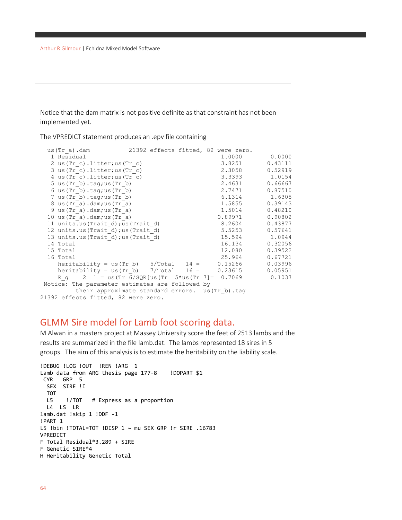Notice that the dam matrix is not positive definite as that constraint has not been implemented yet.

The VPREDICT statement produces an .epv file containing

|                                                                                                                                                                                                                                                                                | us(Tr a).dam 21392 effects fitted, 82 were zero.     |  |         |               |
|--------------------------------------------------------------------------------------------------------------------------------------------------------------------------------------------------------------------------------------------------------------------------------|------------------------------------------------------|--|---------|---------------|
| 1 Residual                                                                                                                                                                                                                                                                     |                                                      |  |         | 1.0000 0.0000 |
|                                                                                                                                                                                                                                                                                | 2 us $(Tr c)$ . litter; us $(Tr c)$                  |  | 3.8251  | 0.43111       |
|                                                                                                                                                                                                                                                                                | 3 us (Tr c). litter; us (Tr c)                       |  | 2.3058  | 0.52919       |
|                                                                                                                                                                                                                                                                                | 4 us $(\text{Tr } c)$ . litter; us $(\text{Tr } c)$  |  |         | 3.3393 1.0154 |
| 5 us $(\text{Tr } b) \cdot \text{tag;Tr } b)$                                                                                                                                                                                                                                  |                                                      |  | 2.4631  | 0.66667       |
| 6 us $(Tr b) . tag; us (Tr b)$                                                                                                                                                                                                                                                 |                                                      |  | 2.7471  | 0.87510       |
| $7$ us $(\text{Tr } b) \cdot \text{tag;Tr } b)$                                                                                                                                                                                                                                |                                                      |  |         | 6.1314 1.6305 |
| 8 us (Tr a) .dam; us (Tr a)                                                                                                                                                                                                                                                    |                                                      |  | 1.5855  | 0.39143       |
| $9$ us (Tr a).dam; us (Tr a)                                                                                                                                                                                                                                                   |                                                      |  | 1.5014  | 0.48210       |
| 10 us $(\text{Tr a}) \cdot \text{dam} \cdot \text{us} (\text{Tr a})$                                                                                                                                                                                                           |                                                      |  | 0.89971 | 0.90802       |
|                                                                                                                                                                                                                                                                                | 11 units.us (Trait d); us (Trait d)                  |  | 8.2604  | 0.43877       |
|                                                                                                                                                                                                                                                                                | 12 units.us (Trait d); us (Trait d)                  |  | 5.5253  | 0.57641       |
|                                                                                                                                                                                                                                                                                | 13 units.us (Trait d); us (Trait d)                  |  |         | 15.594 1.0944 |
| 14 Total                                                                                                                                                                                                                                                                       |                                                      |  | 16.134  | 0.32056       |
| 15 Total                                                                                                                                                                                                                                                                       |                                                      |  | 12.080  | 0.39522       |
| 16 Total                                                                                                                                                                                                                                                                       |                                                      |  | 25.964  | 0.67721       |
|                                                                                                                                                                                                                                                                                | heritability = $us(Tr b)$ 5/Total 14 = 0.15266       |  |         | 0.03996       |
|                                                                                                                                                                                                                                                                                | heritability = us(Tr b) $7/Total$ 16 = 0.23615       |  |         | 0.05951       |
|                                                                                                                                                                                                                                                                                | R g $2$ 1 = us (Tr 6/SQR[us (Tr 5*us (Tr 7] = 0.7069 |  |         | 0.1037        |
| Notice: The parameter estimates are followed by                                                                                                                                                                                                                                |                                                      |  |         |               |
|                                                                                                                                                                                                                                                                                | their approximate standard errors. us (Tr b).tag     |  |         |               |
| $0.1000 \pm 0.0111 \pm 0.1111 \pm 0.0111 \pm 0.0111 \pm 0.0111 \pm 0.0111 \pm 0.0111 \pm 0.0111 \pm 0.0111 \pm 0.0111 \pm 0.0111 \pm 0.0111 \pm 0.0111 \pm 0.0111 \pm 0.0111 \pm 0.0111 \pm 0.0111 \pm 0.0111 \pm 0.0111 \pm 0.0111 \pm 0.0111 \pm 0.0111 \pm 0.0111 \pm 0.01$ |                                                      |  |         |               |

#### 21392 effects fitted, 82 were zero.

### GLMM Sire model for Lamb foot scoring data.

M Alwan in a masters project at Massey University score the feet of 2513 lambs and the results are summarized in the file lamb.dat. The lambs represented 18 sires in 5 groups. The aim of this analysis is to estimate the heritability on the liability scale.

```
!DEBUG !LOG !OUT !REN !ARG 1
Lamb data from ARG thesis page 177-8 !DOPART $1
CYR GRP 5
  SEX SIRE !I
 TOT<br>L5
       !/TOT # Express as a proportion
   L4 LS LR
lamb.dat !skip 1 !DDF -1
!PART 1
L5 !bin !TOTAL=TOT !DISP 1 ~ mu SEX GRP !r SIRE .16783
VPREDICT
F Total Residual*3.289 + SIRE
F Genetic SIRE*4
H Heritability Genetic Total
```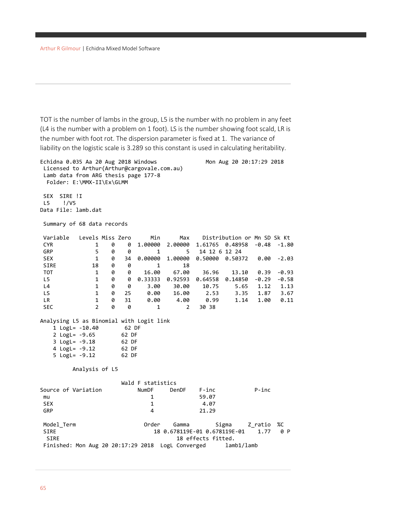TOT is the number of lambs in the group, L5 is the number with no problem in any feet (L4 is the number with a problem on 1 foot). LS is the number showing foot scald, LR is the number with foot rot. The dispersion parameter is fixed at 1. The variance of liability on the logistic scale is 3.289 so this constant is used in calculating heritability.

```
Echidna 0.035 Aa 20 Aug 2018 Windows Mon Aug 20 20:17:29 2018
Licensed to Arthur(Arthur@cargovale.com.au)
Lamb data from ARG thesis page 177-8
  Folder: E:\MMX-II\Ex\GLMM
SEX SIRE !I
L5 !/V5
Data File: lamb.dat
Summary of 68 data records
Variable Levels Miss Zero Min Max Distribution or Mn SD Sk Kt 
                          CYR 1 0 0 1.00000 2.00000 1.61765 0.48958 -0.48 -1.80
GRP 5 0 0 1 5 14 12 6 12 24
SEX 1 0 34 0.00000 1.00000 0.50000 0.50372 0.00 -2.03
SIRE 18 0 0 1 18
TOT 1 0 0 16.00 67.00 36.96 13.10 0.39 -0.93
L5 1 0 0 0.33333 0.92593 0.64558 0.14850 -0.29 -0.58
L4 1 0 0 3.00 30.00 10.75 5.65 1.12 1.13
LS 1 0 25 0.00 16.00 2.53 3.35 1.87 3.67
LR 1 0 31 0.00 4.00 0.99 1.14 1.00 0.11
SEC 2 0 0 1 2 30 38
Analysing L5 as Binomial with Logit link
   1 LogL= -10.40 62 DF
   2 LogL= -9.65 62 DF
   3 LogL= -9.18 62 DF
   4 LogL= -9.12 62 DF
   5 LogL= -9.12 62 DF
       Analysis of L5 
                Wald F statistics<br>NumDF DenDF
Source of Variation MumDF DenDF F-inc P-inc<br>
mu 1 59.07
mu 1 59.07
SEX 1 4.07
GRP 4 21.29
Model Term Camma Gamma Sigma Z ratio %C
SIRE 18 0.678119E-01 0.678119E-01 1.77 0 P
 SIRE 18 effects fitted.
Finished: Mon Aug 20 20:17:29 2018 LogL Converged lamb1/lamb
```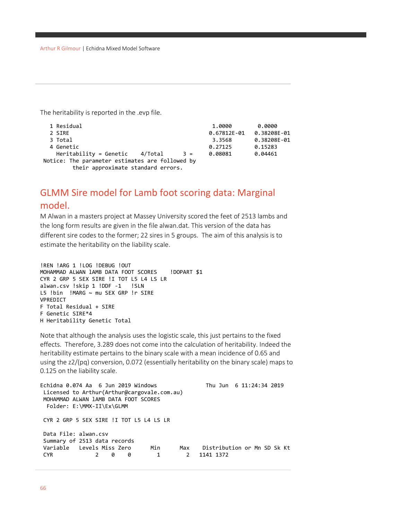The heritability is reported in the .evp file.

| 1 Residual                                                                            | 1.0000      | 0.0000      |
|---------------------------------------------------------------------------------------|-------------|-------------|
| 2 SIRE                                                                                | 0.67812E-01 | 0.38208E-01 |
| 3 Total                                                                               | 3.3568      | 0.38208E-01 |
| 4 Genetic                                                                             | 0.27125     | 0.15283     |
| $Heritability = Genetic 4/Total$<br>$3 =$                                             | 0.08081     | 0.04461     |
| Notice: The parameter estimates are followed by<br>their approximate standard errors. |             |             |

## GLMM Sire model for Lamb foot scoring data: Marginal model.

M Alwan in a masters project at Massey University scored the feet of 2513 lambs and the long form results are given in the file alwan.dat. This version of the data has different sire codes to the former; 22 sires in 5 groups. The aim of this analysis is to estimate the heritability on the liability scale.

```
!REN !ARG 1 !LOG !DEBUG !OUT
MOHAMMAD ALWAN 1AMB DATA FOOT SCORES ! DOPART $1
CYR 2 GRP 5 SEX SIRE !I TOT L5 L4 LS LR 
alwan.csv !skip 1 !DDF -1 !SLN
L5 !bin !MARG ~ mu SEX GRP !r SIRE 
VPREDICT
F Total Residual + SIRE
F Genetic SIRE*4
H Heritability Genetic Total
```
Note that although the analysis uses the logistic scale, this just pertains to the fixed effects. Therefore, 3.289 does not come into the calculation of heritability. Indeed the heritability estimate pertains to the binary scale with a mean incidence of 0.65 and using the z2/(pq) conversion, 0.072 (essentially heritability on the binary scale) maps to 0.125 on the liability scale.

```
Echidna 0.074 Aa 6 Jun 2019 Windows Thu Jun 6 11:24:34 2019
Licensed to Arthur(Arthur@cargovale.com.au)
MOHAMMAD ALWAN lAMB DATA FOOT SCORES
  Folder: E:\MMX-II\Ex\GLMM
CYR 2 GRP 5 SEX SIRE !I TOT L5 L4 LS LR
Data File: alwan.csv
Summary of 2513 data records
Variable Levels Miss Zero Min Max Distribution or Mn SD Sk Kt<br>CYR 2 0 0 1 2 1141 1372
                CYR 2 0 0 1 2 1141 1372
```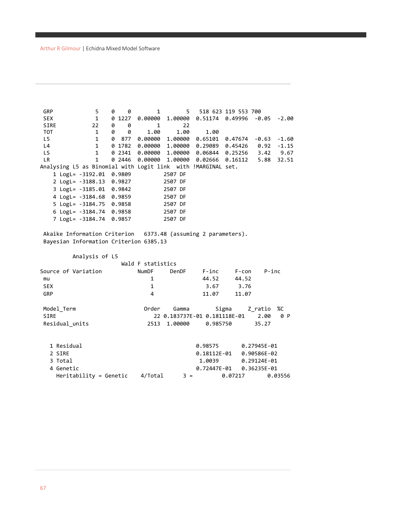| <b>GRP</b><br><b>SEX</b><br><b>SIRE</b> | 5<br>$\mathbf{1}$<br>22                                      | 0<br>0 | 0<br>0 1227<br>0 | 1<br>0.00000<br>$\mathbf{1}$ | 1,00000<br>22   | $5 -$<br>$0.51174$ $0.49996$ $-0.05$ | 518 623 119 553 700 |             | -2.00   |
|-----------------------------------------|--------------------------------------------------------------|--------|------------------|------------------------------|-----------------|--------------------------------------|---------------------|-------------|---------|
| <b>TOT</b>                              | $\mathbf{1}$                                                 | 0      | 0                | 1.00                         | 1.00            | 1.00                                 |                     |             |         |
| L5                                      | $\mathbf{1}$                                                 | 0      |                  | 877 0.00000                  | 1,00000         | 0.65101                              | 0.47674 -0.63       |             | $-1.60$ |
| L4                                      | $\mathbf{1}$                                                 |        | 0 1782           |                              | 0.00000 1.00000 | 0.29089                              | 0.45426             | 0.92        | $-1.15$ |
| LS                                      | $\mathbf{1}$                                                 |        | 0 2341           |                              | 0.00000 1.00000 | 0.06844                              | 0.25256 3.42        |             | 9.67    |
| <b>LR</b>                               | $\mathbf{1}$                                                 |        | 0 2446           |                              | 0.00000 1.00000 | 0.02666                              | 0.16112             | 5.88        | 32.51   |
|                                         | Analysing L5 as Binomial with Logit link with !MARGINAL set. |        |                  |                              |                 |                                      |                     |             |         |
|                                         | 1 LogL= -3192.01 0.9809                                      |        |                  |                              | 2507 DF         |                                      |                     |             |         |
|                                         | 2 LogL= -3188.13 0.9827                                      |        |                  |                              | 2507 DF         |                                      |                     |             |         |
|                                         | 3 LogL= -3185.01 0.9842                                      |        |                  |                              | 2507 DF         |                                      |                     |             |         |
|                                         | 4 LogL= -3184.68 0.9859                                      |        |                  |                              | 2507 DF         |                                      |                     |             |         |
|                                         | 5 LogL= -3184.75 0.9858                                      |        |                  |                              | 2507 DF         |                                      |                     |             |         |
|                                         | 6 LogL= -3184.74 0.9858                                      |        |                  |                              | 2507 DF         |                                      |                     |             |         |
|                                         | 7 LogL= -3184.74 0.9857                                      |        |                  |                              | 2507 DF         |                                      |                     |             |         |
|                                         | Bayesian Information Criterion 6385.13<br>Analysis of L5     |        |                  |                              |                 |                                      |                     |             |         |
|                                         |                                                              |        |                  | Wald F statistics            |                 |                                      |                     |             |         |
|                                         | Source of Variation                                          |        |                  | <b>NumDF</b>                 | DenDF           | $F$ -inc                             | F-con               | $P$ -inc    |         |
| mu                                      |                                                              |        |                  | 1                            |                 | 44.52                                | 44.52               |             |         |
| <b>SEX</b>                              |                                                              |        |                  | $\mathbf{1}$                 |                 | 3.67                                 | 3.76                |             |         |
| GRP                                     |                                                              |        |                  | $\overline{4}$               |                 | 11.07                                | 11.07               |             |         |
|                                         |                                                              |        |                  |                              |                 |                                      |                     |             |         |
| Model_Term                              |                                                              |        |                  | Order                        | Gamma           |                                      | Sigma               | Z_ratio     | %C      |
| <b>SIRE</b>                             |                                                              |        |                  |                              |                 | 22 0.183737E-01 0.181118E-01         |                     | 2.00        | 0 P     |
|                                         | Residual_units                                               |        |                  | 2513                         | 1.00000         | 0.985750                             |                     | 35.27       |         |
|                                         |                                                              |        |                  |                              |                 |                                      |                     |             |         |
|                                         |                                                              |        |                  |                              |                 |                                      |                     |             |         |
|                                         | 1 Residual                                                   |        |                  |                              |                 | 0.98575                              | 0.27945E-01         |             |         |
| 2 SIRE                                  |                                                              |        |                  |                              |                 | 0.18112E-01                          |                     | 0.90586E-02 |         |
| 3 Total                                 |                                                              |        |                  |                              |                 | 1.0039                               |                     | 0.29124E-01 |         |
|                                         | 4 Genetic                                                    |        |                  |                              |                 | 0.72447E-01                          |                     | 0.36235E-01 |         |
|                                         | Heritability = Genetic                                       |        |                  | 4/Total                      | $3 =$           |                                      | 0.07217             |             | 0.03556 |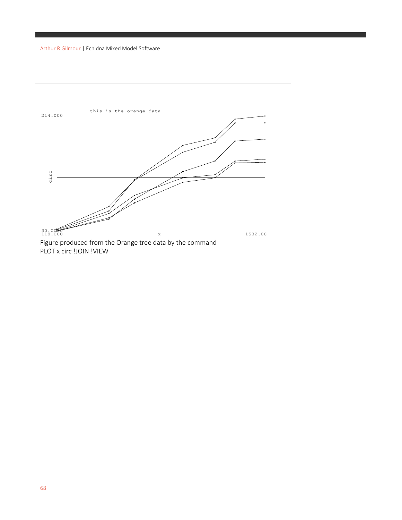

PLOT x circ !JOIN !VIEW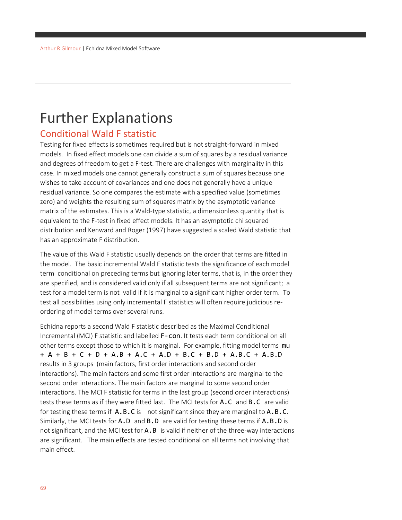# Further Explanations

### Conditional Wald F statistic

Testing for fixed effects is sometimes required but is not straight-forward in mixed models. In fixed effect models one can divide a sum of squares by a residual variance and degrees of freedom to get a F-test. There are challenges with marginality in this case. In mixed models one cannot generally construct a sum of squares because one wishes to take account of covariances and one does not generally have a unique residual variance. So one compares the estimate with a specified value (sometimes zero) and weights the resulting sum of squares matrix by the asymptotic variance matrix of the estimates. This is a Wald-type statistic, a dimensionless quantity that is equivalent to the F-test in fixed effect models. It has an asymptotic chi squared distribution and Kenward and Roger (1997) have suggested a scaled Wald statistic that has an approximate F distribution.

The value of this Wald F statistic usually depends on the order that terms are fitted in the model. The basic incremental Wald F statistic tests the significance of each model term conditional on preceding terms but ignoring later terms, that is, in the order they are specified, and is considered valid only if all subsequent terms are not significant; a test for a model term is not valid if it is marginal to a significant higher order term. To test all possibilities using only incremental F statistics will often require judicious reordering of model terms over several runs.

Echidna reports a second Wald F statistic described as the Maximal Conditional Incremental (MCI) F statistic and labelled F-con. It tests each term conditional on all other terms except those to which it is marginal. For example, fitting model terms mu + A + B + C + D + A.B + A.C + A.D + B.C + B.D + A.B.C + A.B.D results in 3 groups (main factors, first order interactions and second order interactions). The main factors and some first order interactions are marginal to the second order interactions. The main factors are marginal to some second order interactions. The MCI F statistic for terms in the last group (second order interactions) tests these terms as if they were fitted last. The MCI tests for A.C and B.C are valid for testing these terms if  $A.B.C.$  is not significant since they are marginal to  $A.B.C.$ Similarly, the MCI tests for  $A.D$  and  $B.D$  are valid for testing these terms if  $A.B.D$  is not significant, and the MCI test for A.B is valid if neither of the three-way interactions are significant. The main effects are tested conditional on all terms not involving that main effect.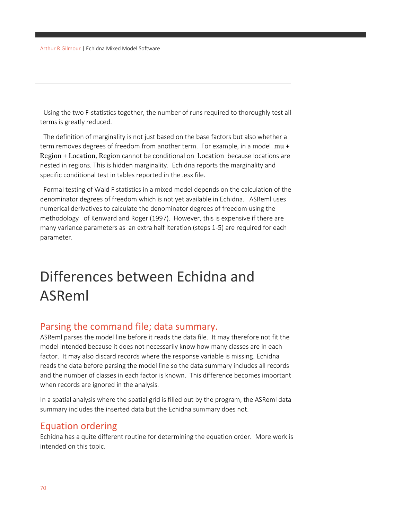Using the two F-statistics together, the number of runs required to thoroughly test all terms is greatly reduced.

 The definition of marginality is not just based on the base factors but also whether a term removes degrees of freedom from another term. For example, in a model mu + Region + Location, Region cannot be conditional on Location because locations are nested in regions. This is hidden marginality. Echidna reports the marginality and specific conditional test in tables reported in the .esx file.

 Formal testing of Wald F statistics in a mixed model depends on the calculation of the denominator degrees of freedom which is not yet available in Echidna. ASReml uses numerical derivatives to calculate the denominator degrees of freedom using the methodology of Kenward and Roger (1997). However, this is expensive if there are many variance parameters as an extra half iteration (steps 1-5) are required for each parameter.

# Differences between Echidna and ASReml

### Parsing the command file; data summary.

ASReml parses the model line before it reads the data file. It may therefore not fit the model intended because it does not necessarily know how many classes are in each factor. It may also discard records where the response variable is missing. Echidna reads the data before parsing the model line so the data summary includes all records and the number of classes in each factor is known. This difference becomes important when records are ignored in the analysis.

In a spatial analysis where the spatial grid is filled out by the program, the ASReml data summary includes the inserted data but the Echidna summary does not.

### Equation ordering

Echidna has a quite different routine for determining the equation order. More work is intended on this topic.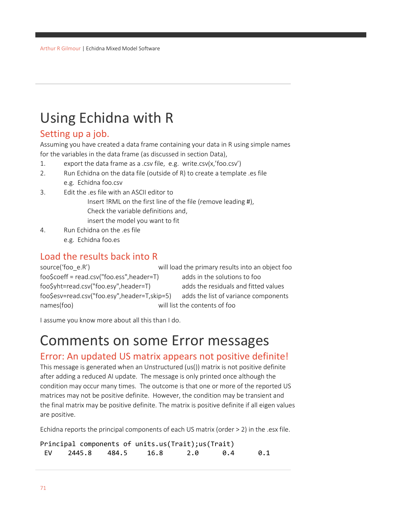# Using Echidna with R

### Setting up a job.

Assuming you have created a data frame containing your data in R using simple names for the variables in the data frame (as discussed in section Data),

- 1. export the data frame as a .csv file, e.g. write.csv(x,'foo.csv')
- 2. Run Echidna on the data file (outside of R) to create a template .es file e.g. Echidna foo.csv
- 3. Edit the .es file with an ASCII editor to
	- Insert !RML on the first line of the file (remove leading #), Check the variable definitions and,
	- insert the model you want to fit
- 4. Run Echidna on the .es file e.g. Echidna foo.es

### Load the results back into R

source('foo\_e.R') will load the primary results into an object foo foo\$coeff = read.csv("foo.ess",header=T) adds in the solutions to foo foo\$yht=read.csv("foo.esy",header=T) adds the residuals and fitted values foo\$esv=read.csv("foo.esy",header=T,skip=5) adds the list of variance components names(foo) will list the contents of foo

I assume you know more about all this than I do.

# Comments on some Error messages

## Error: An updated US matrix appears not positive definite!

This message is generated when an Unstructured (us()) matrix is not positive definite after adding a reduced AI update. The message is only printed once although the condition may occur many times. The outcome is that one or more of the reported US matrices may not be positive definite. However, the condition may be transient and the final matrix may be positive definite. The matrix is positive definite if all eigen values are positive.

Echidna reports the principal components of each US matrix (order > 2) in the .esx file.

Principal components of units.us(Trait);us(Trait) EV 2445.8 484.5 16.8 2.0 0.4 0.1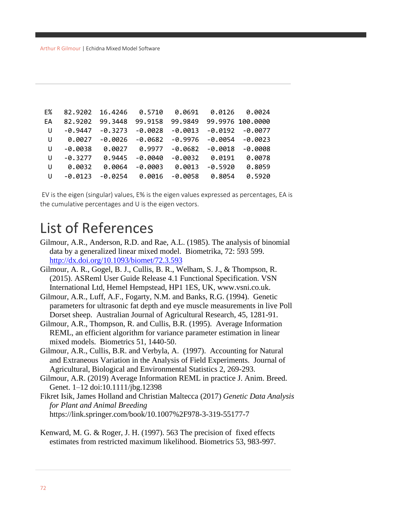| E% | 82.9202   | 16.4246   | 0.5710    | 0.0691    | 0.0126    | 0.0024           |
|----|-----------|-----------|-----------|-----------|-----------|------------------|
| EA | 82.9202   | 99.3448   | 99.9158   | 99.9849   |           | 99.9976 100.0000 |
| U  | $-0.9447$ | $-0.3273$ | $-0.0028$ | $-0.0013$ | $-0.0192$ | $-0.0077$        |
| U  | 0.0027    | $-0.0026$ | $-0.0682$ | $-0.9976$ | $-0.0054$ | $-0.0023$        |
| U  | $-0.0038$ | 0.0027    | 0.9977    | $-0.0682$ | $-0.0018$ | $-0.0008$        |
| U  | $-0.3277$ | 0.9445    | $-0.0040$ | $-0.0032$ | 0.0191    | 0.0078           |
| U  | 0.0032    | 0.0064    | $-0.0003$ | 0.0013    | $-0.5920$ | 0.8059           |
| U  | $-0.0123$ | $-0.0254$ | 0.0016    | -0.0058   | 0.8054    | 0.5920           |

EV is the eigen (singular) values, E% is the eigen values expressed as percentages, EA is the cumulative percentages and U is the eigen vectors.

# List of References

- Gilmour, A.R., Anderson, R.D. and Rae, A.L. (1985). The analysis of binomial data by a generalized linear mixed model. Biometrika, 72: 593 599. <http://dx.doi.org/10.1093/biomet/72.3.593>
- Gilmour, A. R., Gogel, B. J., Cullis, B. R., Welham, S. J., & Thompson, R. (2015). ASReml User Guide Release 4.1 Functional Specification. VSN International Ltd, Hemel Hempstead, HP1 1ES, UK, www.vsni.co.uk.
- Gilmour, A.R., Luff, A.F., Fogarty, N.M. and Banks, R.G. (1994). Genetic parameters for ultrasonic fat depth and eye muscle measurements in live Poll Dorset sheep. Australian Journal of Agricultural Research, 45, 1281-91.
- Gilmour, A.R., Thompson, R. and Cullis, B.R. (1995). Average Information REML, an efficient algorithm for variance parameter estimation in linear mixed models. Biometrics 51, 1440-50.
- Gilmour, A.R., Cullis, B.R. and Verbyla, A. (1997). Accounting for Natural and Extraneous Variation in the Analysis of Field Experiments. Journal of Agricultural, Biological and Environmental Statistics 2, 269-293.
- Gilmour, A.R. (2019) Average Information REML in practice J. Anim. Breed. Genet. 1–12 doi:10.1111/jbg.12398
- Fikret Isik, James Holland and Christian Maltecca (2017) *Genetic Data Analysis for Plant and Animal Breeding*  https://link.springer.com/book/10.1007%2F978-3-319-55177-7
- Kenward, M. G. & Roger, J. H. (1997). 563 The precision of fixed effects estimates from restricted maximum likelihood. Biometrics 53, 983-997.